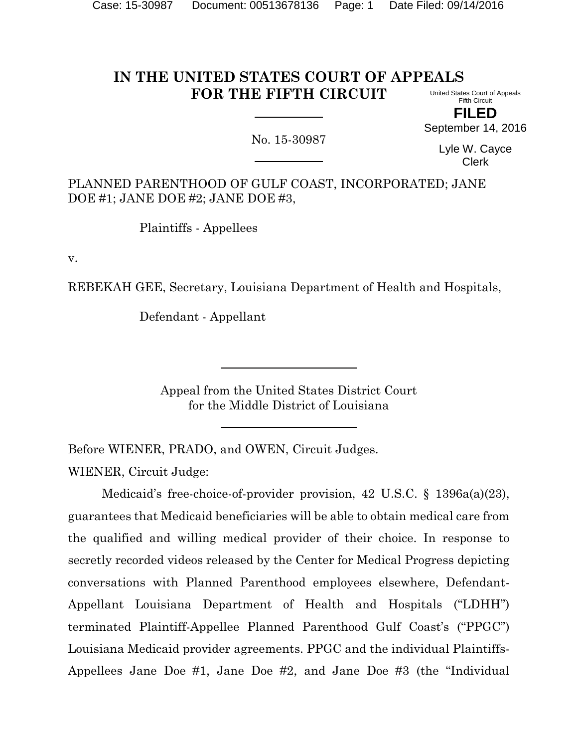#### **IN THE UNITED STATES COURT OF APPEALS FOR THE FIFTH CIRCUIT** United States Court of Appeals

Fifth Circuit **FILED**

No. 15-30987

Lyle W. Cayce Clerk

September 14, 2016

PLANNED PARENTHOOD OF GULF COAST, INCORPORATED; JANE DOE #1; JANE DOE #2; JANE DOE #3,

Plaintiffs - Appellees

v.

REBEKAH GEE, Secretary, Louisiana Department of Health and Hospitals,

Defendant - Appellant

Appeal from the United States District Court for the Middle District of Louisiana

Before WIENER, PRADO, and OWEN, Circuit Judges.

WIENER, Circuit Judge:

Medicaid's free-choice-of-provider provision, 42 U.S.C. § 1396a(a)(23), guarantees that Medicaid beneficiaries will be able to obtain medical care from the qualified and willing medical provider of their choice. In response to secretly recorded videos released by the Center for Medical Progress depicting conversations with Planned Parenthood employees elsewhere, Defendant-Appellant Louisiana Department of Health and Hospitals ("LDHH") terminated Plaintiff-Appellee Planned Parenthood Gulf Coast's ("PPGC") Louisiana Medicaid provider agreements. PPGC and the individual Plaintiffs-Appellees Jane Doe #1, Jane Doe #2, and Jane Doe #3 (the "Individual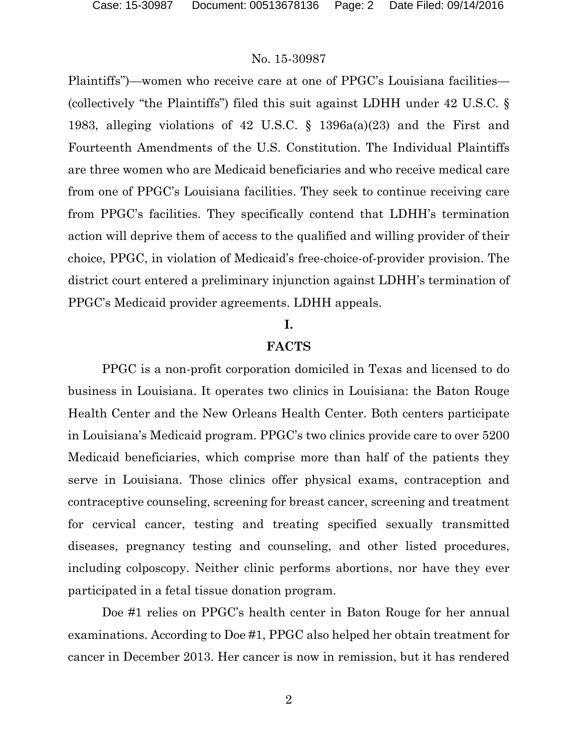Plaintiffs")—women who receive care at one of PPGC's Louisiana facilities— (collectively "the Plaintiffs") filed this suit against LDHH under 42 U.S.C. § 1983, alleging violations of 42 U.S.C. § 1396a(a)(23) and the First and Fourteenth Amendments of the U.S. Constitution. The Individual Plaintiffs are three women who are Medicaid beneficiaries and who receive medical care from one of PPGC's Louisiana facilities. They seek to continue receiving care from PPGC's facilities. They specifically contend that LDHH's termination action will deprive them of access to the qualified and willing provider of their choice, PPGC, in violation of Medicaid's free-choice-of-provider provision. The district court entered a preliminary injunction against LDHH's termination of PPGC's Medicaid provider agreements. LDHH appeals.

#### **I.**

#### **FACTS**

PPGC is a non-profit corporation domiciled in Texas and licensed to do business in Louisiana. It operates two clinics in Louisiana: the Baton Rouge Health Center and the New Orleans Health Center. Both centers participate in Louisiana's Medicaid program. PPGC's two clinics provide care to over 5200 Medicaid beneficiaries, which comprise more than half of the patients they serve in Louisiana. Those clinics offer physical exams, contraception and contraceptive counseling, screening for breast cancer, screening and treatment for cervical cancer, testing and treating specified sexually transmitted diseases, pregnancy testing and counseling, and other listed procedures, including colposcopy. Neither clinic performs abortions, nor have they ever participated in a fetal tissue donation program.

Doe #1 relies on PPGC's health center in Baton Rouge for her annual examinations. According to Doe #1, PPGC also helped her obtain treatment for cancer in December 2013. Her cancer is now in remission, but it has rendered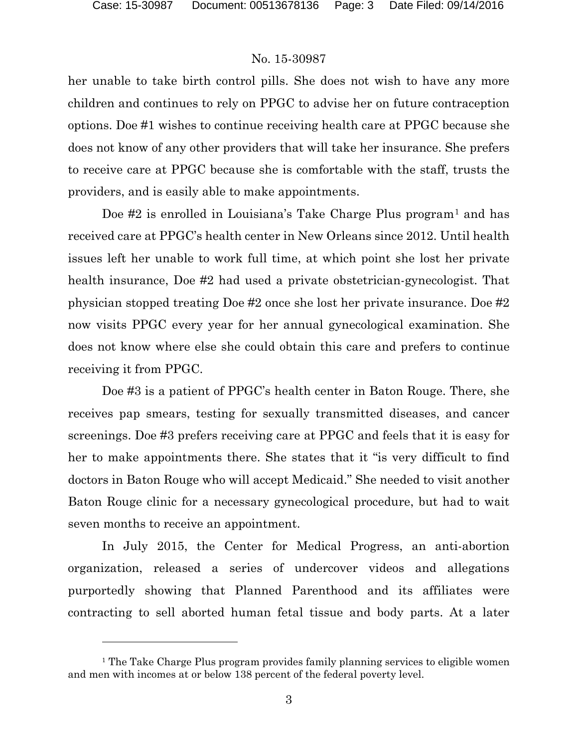$\overline{a}$ 

### No. 15-30987

her unable to take birth control pills. She does not wish to have any more children and continues to rely on PPGC to advise her on future contraception options. Doe #1 wishes to continue receiving health care at PPGC because she does not know of any other providers that will take her insurance. She prefers to receive care at PPGC because she is comfortable with the staff, trusts the providers, and is easily able to make appointments.

Doe #2 is enrolled in Louisiana's Take Charge Plus program<sup>[1](#page-2-0)</sup> and has received care at PPGC's health center in New Orleans since 2012. Until health issues left her unable to work full time, at which point she lost her private health insurance, Doe #2 had used a private obstetrician-gynecologist. That physician stopped treating Doe #2 once she lost her private insurance. Doe #2 now visits PPGC every year for her annual gynecological examination. She does not know where else she could obtain this care and prefers to continue receiving it from PPGC.

Doe #3 is a patient of PPGC's health center in Baton Rouge. There, she receives pap smears, testing for sexually transmitted diseases, and cancer screenings. Doe #3 prefers receiving care at PPGC and feels that it is easy for her to make appointments there. She states that it "is very difficult to find doctors in Baton Rouge who will accept Medicaid." She needed to visit another Baton Rouge clinic for a necessary gynecological procedure, but had to wait seven months to receive an appointment.

In July 2015, the Center for Medical Progress, an anti-abortion organization, released a series of undercover videos and allegations purportedly showing that Planned Parenthood and its affiliates were contracting to sell aborted human fetal tissue and body parts. At a later

<span id="page-2-0"></span><sup>&</sup>lt;sup>1</sup> The Take Charge Plus program provides family planning services to eligible women and men with incomes at or below 138 percent of the federal poverty level.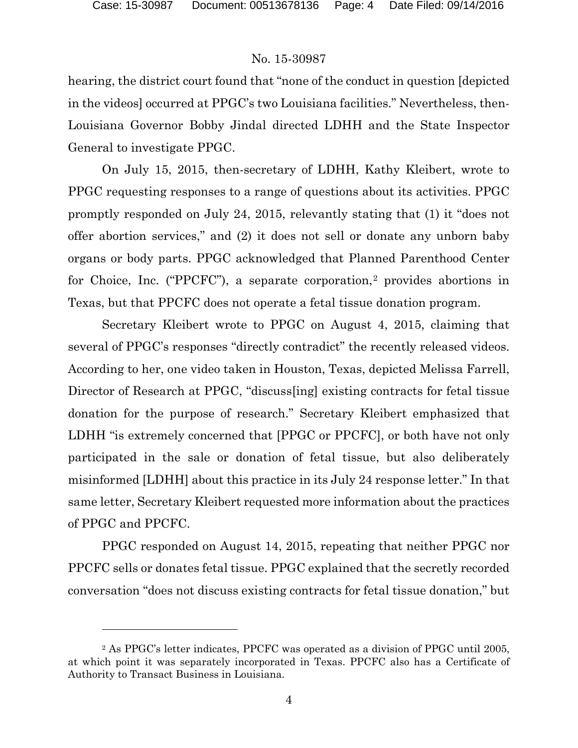l

## No. 15-30987

hearing, the district court found that "none of the conduct in question [depicted in the videos] occurred at PPGC's two Louisiana facilities." Nevertheless, then-Louisiana Governor Bobby Jindal directed LDHH and the State Inspector General to investigate PPGC.

On July 15, 2015, then-secretary of LDHH, Kathy Kleibert, wrote to PPGC requesting responses to a range of questions about its activities. PPGC promptly responded on July 24, 2015, relevantly stating that (1) it "does not offer abortion services," and (2) it does not sell or donate any unborn baby organs or body parts. PPGC acknowledged that Planned Parenthood Center for Choice, Inc. ("PPCFC"), a separate corporation,<sup>[2](#page-3-0)</sup> provides abortions in Texas, but that PPCFC does not operate a fetal tissue donation program.

Secretary Kleibert wrote to PPGC on August 4, 2015, claiming that several of PPGC's responses "directly contradict" the recently released videos. According to her, one video taken in Houston, Texas, depicted Melissa Farrell, Director of Research at PPGC, "discuss[ing] existing contracts for fetal tissue donation for the purpose of research." Secretary Kleibert emphasized that LDHH "is extremely concerned that [PPGC or PPCFC], or both have not only participated in the sale or donation of fetal tissue, but also deliberately misinformed [LDHH] about this practice in its July 24 response letter." In that same letter, Secretary Kleibert requested more information about the practices of PPGC and PPCFC.

PPGC responded on August 14, 2015, repeating that neither PPGC nor PPCFC sells or donates fetal tissue. PPGC explained that the secretly recorded conversation "does not discuss existing contracts for fetal tissue donation," but

<span id="page-3-0"></span><sup>2</sup> As PPGC's letter indicates, PPCFC was operated as a division of PPGC until 2005, at which point it was separately incorporated in Texas. PPCFC also has a Certificate of Authority to Transact Business in Louisiana.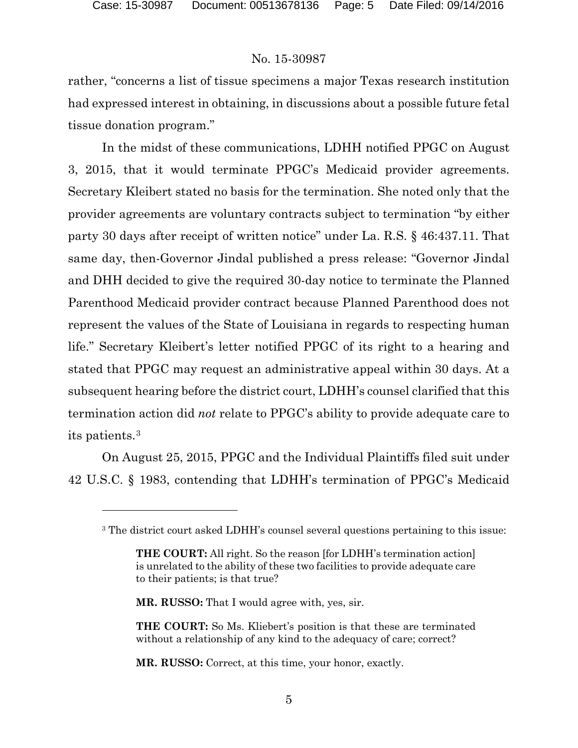$\overline{a}$ 

#### No. 15-30987

rather, "concerns a list of tissue specimens a major Texas research institution had expressed interest in obtaining, in discussions about a possible future fetal tissue donation program."

In the midst of these communications, LDHH notified PPGC on August 3, 2015, that it would terminate PPGC's Medicaid provider agreements. Secretary Kleibert stated no basis for the termination. She noted only that the provider agreements are voluntary contracts subject to termination "by either party 30 days after receipt of written notice" under La. R.S. § 46:437.11. That same day, then-Governor Jindal published a press release: "Governor Jindal and DHH decided to give the required 30-day notice to terminate the Planned Parenthood Medicaid provider contract because Planned Parenthood does not represent the values of the State of Louisiana in regards to respecting human life." Secretary Kleibert's letter notified PPGC of its right to a hearing and stated that PPGC may request an administrative appeal within 30 days. At a subsequent hearing before the district court, LDHH's counsel clarified that this termination action did *not* relate to PPGC's ability to provide adequate care to its patients.[3](#page-4-0)

<span id="page-4-0"></span>On August 25, 2015, PPGC and the Individual Plaintiffs filed suit under 42 U.S.C. § 1983, contending that LDHH's termination of PPGC's Medicaid

**MR. RUSSO:** That I would agree with, yes, sir.

**MR. RUSSO:** Correct, at this time, your honor, exactly.

<sup>3</sup> The district court asked LDHH's counsel several questions pertaining to this issue:

**THE COURT:** All right. So the reason [for LDHH's termination action] is unrelated to the ability of these two facilities to provide adequate care to their patients; is that true?

**THE COURT:** So Ms. Kliebert's position is that these are terminated without a relationship of any kind to the adequacy of care; correct?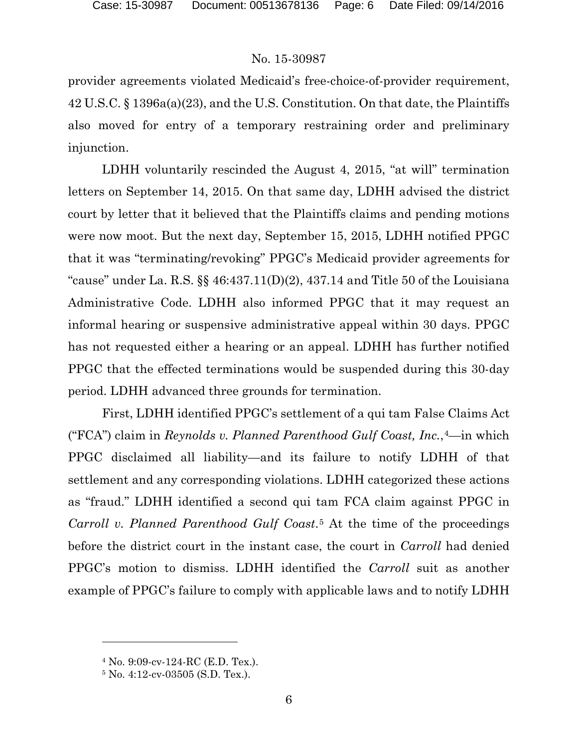provider agreements violated Medicaid's free-choice-of-provider requirement, 42 U.S.C. § 1396a(a)(23), and the U.S. Constitution. On that date, the Plaintiffs also moved for entry of a temporary restraining order and preliminary injunction.

LDHH voluntarily rescinded the August 4, 2015, "at will" termination letters on September 14, 2015. On that same day, LDHH advised the district court by letter that it believed that the Plaintiffs claims and pending motions were now moot. But the next day, September 15, 2015, LDHH notified PPGC that it was "terminating/revoking" PPGC's Medicaid provider agreements for "cause" under La. R.S.  $\S$  46:437.11(D)(2), 437.14 and Title 50 of the Louisiana Administrative Code. LDHH also informed PPGC that it may request an informal hearing or suspensive administrative appeal within 30 days. PPGC has not requested either a hearing or an appeal. LDHH has further notified PPGC that the effected terminations would be suspended during this 30-day period. LDHH advanced three grounds for termination.

First, LDHH identified PPGC's settlement of a qui tam False Claims Act ("FCA") claim in *Reynolds v. Planned Parenthood Gulf Coast, Inc.*,[4](#page-5-0)—in which PPGC disclaimed all liability—and its failure to notify LDHH of that settlement and any corresponding violations. LDHH categorized these actions as "fraud." LDHH identified a second qui tam FCA claim against PPGC in *Carroll v. Planned Parenthood Gulf Coast*.[5](#page-5-1) At the time of the proceedings before the district court in the instant case, the court in *Carroll* had denied PPGC's motion to dismiss. LDHH identified the *Carroll* suit as another example of PPGC's failure to comply with applicable laws and to notify LDHH

<span id="page-5-0"></span><sup>4</sup> No. 9:09-cv-124-RC (E.D. Tex.).

<span id="page-5-1"></span><sup>5</sup> No. 4:12-cv-03505 (S.D. Tex.).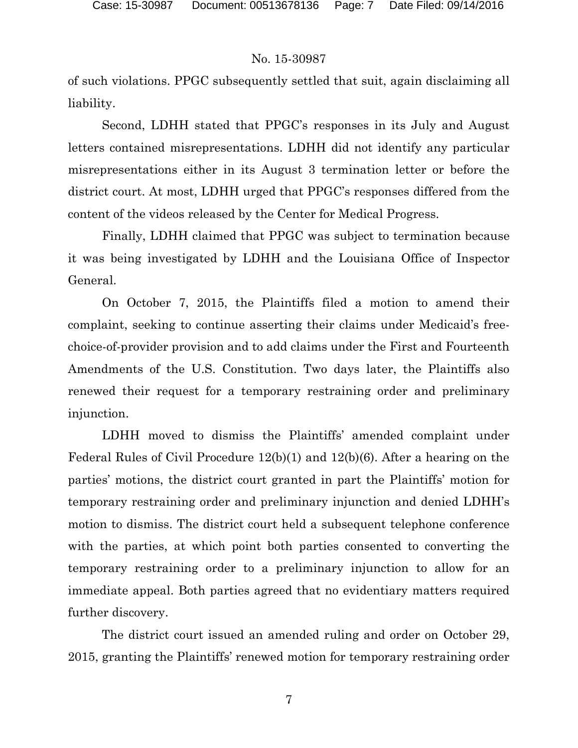of such violations. PPGC subsequently settled that suit, again disclaiming all liability.

Second, LDHH stated that PPGC's responses in its July and August letters contained misrepresentations. LDHH did not identify any particular misrepresentations either in its August 3 termination letter or before the district court. At most, LDHH urged that PPGC's responses differed from the content of the videos released by the Center for Medical Progress.

Finally, LDHH claimed that PPGC was subject to termination because it was being investigated by LDHH and the Louisiana Office of Inspector General.

On October 7, 2015, the Plaintiffs filed a motion to amend their complaint, seeking to continue asserting their claims under Medicaid's freechoice-of-provider provision and to add claims under the First and Fourteenth Amendments of the U.S. Constitution. Two days later, the Plaintiffs also renewed their request for a temporary restraining order and preliminary injunction.

LDHH moved to dismiss the Plaintiffs' amended complaint under Federal Rules of Civil Procedure 12(b)(1) and 12(b)(6). After a hearing on the parties' motions, the district court granted in part the Plaintiffs' motion for temporary restraining order and preliminary injunction and denied LDHH's motion to dismiss. The district court held a subsequent telephone conference with the parties, at which point both parties consented to converting the temporary restraining order to a preliminary injunction to allow for an immediate appeal. Both parties agreed that no evidentiary matters required further discovery.

The district court issued an amended ruling and order on October 29, 2015, granting the Plaintiffs' renewed motion for temporary restraining order

7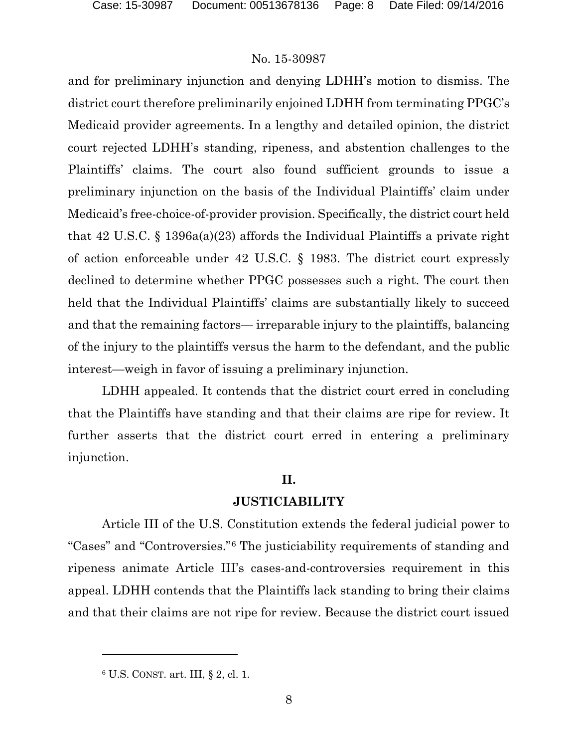and for preliminary injunction and denying LDHH's motion to dismiss. The district court therefore preliminarily enjoined LDHH from terminating PPGC's Medicaid provider agreements. In a lengthy and detailed opinion, the district court rejected LDHH's standing, ripeness, and abstention challenges to the Plaintiffs' claims. The court also found sufficient grounds to issue a preliminary injunction on the basis of the Individual Plaintiffs' claim under Medicaid's free-choice-of-provider provision. Specifically, the district court held that 42 U.S.C. § 1396a(a)(23) affords the Individual Plaintiffs a private right of action enforceable under 42 U.S.C. § 1983. The district court expressly declined to determine whether PPGC possesses such a right. The court then held that the Individual Plaintiffs' claims are substantially likely to succeed and that the remaining factors— irreparable injury to the plaintiffs, balancing of the injury to the plaintiffs versus the harm to the defendant, and the public interest—weigh in favor of issuing a preliminary injunction.

LDHH appealed. It contends that the district court erred in concluding that the Plaintiffs have standing and that their claims are ripe for review. It further asserts that the district court erred in entering a preliminary injunction.

### **II.**

#### **JUSTICIABILITY**

Article III of the U.S. Constitution extends the federal judicial power to "Cases" and "Controversies."[6](#page-7-0) The justiciability requirements of standing and ripeness animate Article III's cases-and-controversies requirement in this appeal. LDHH contends that the Plaintiffs lack standing to bring their claims and that their claims are not ripe for review. Because the district court issued

<span id="page-7-0"></span><sup>6</sup> U.S. CONST. art. III, § 2, cl. 1.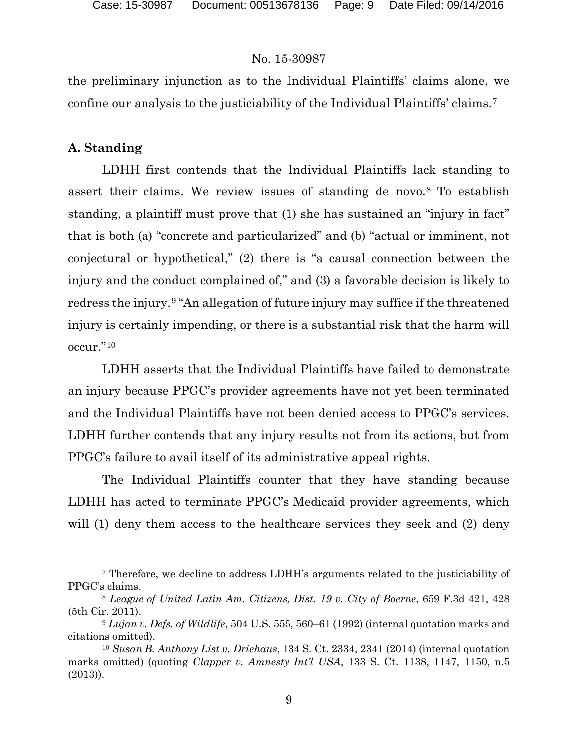the preliminary injunction as to the Individual Plaintiffs' claims alone, we confine our analysis to the justiciability of the Individual Plaintiffs' claims.[7](#page-8-0)

## **A. Standing**

 $\overline{a}$ 

LDHH first contends that the Individual Plaintiffs lack standing to assert their claims. We review issues of standing de novo.[8](#page-8-1) To establish standing, a plaintiff must prove that (1) she has sustained an "injury in fact" that is both (a) "concrete and particularized" and (b) "actual or imminent, not conjectural or hypothetical," (2) there is "a causal connection between the injury and the conduct complained of," and (3) a favorable decision is likely to redress the injury.[9](#page-8-2) "An allegation of future injury may suffice if the threatened injury is certainly impending, or there is a substantial risk that the harm will occur."[10](#page-8-3)

LDHH asserts that the Individual Plaintiffs have failed to demonstrate an injury because PPGC's provider agreements have not yet been terminated and the Individual Plaintiffs have not been denied access to PPGC's services. LDHH further contends that any injury results not from its actions, but from PPGC's failure to avail itself of its administrative appeal rights.

The Individual Plaintiffs counter that they have standing because LDHH has acted to terminate PPGC's Medicaid provider agreements, which will (1) deny them access to the healthcare services they seek and (2) deny

<span id="page-8-0"></span><sup>7</sup> Therefore, we decline to address LDHH's arguments related to the justiciability of PPGC's claims.

<span id="page-8-1"></span><sup>8</sup> *League of United Latin Am. Citizens, Dist. 19 v. City of Boerne*, 659 F.3d 421, 428 (5th Cir. 2011).

<span id="page-8-2"></span><sup>9</sup> *Lujan v. Defs. of Wildlife*, 504 U.S. 555, 560–61 (1992) (internal quotation marks and citations omitted).

<span id="page-8-3"></span><sup>10</sup> *Susan B. Anthony List v. Driehaus*, 134 S. Ct. 2334, 2341 (2014) (internal quotation marks omitted) (quoting *Clapper v. Amnesty Int'l USA*, 133 S. Ct. 1138, 1147, 1150, n.5 (2013)).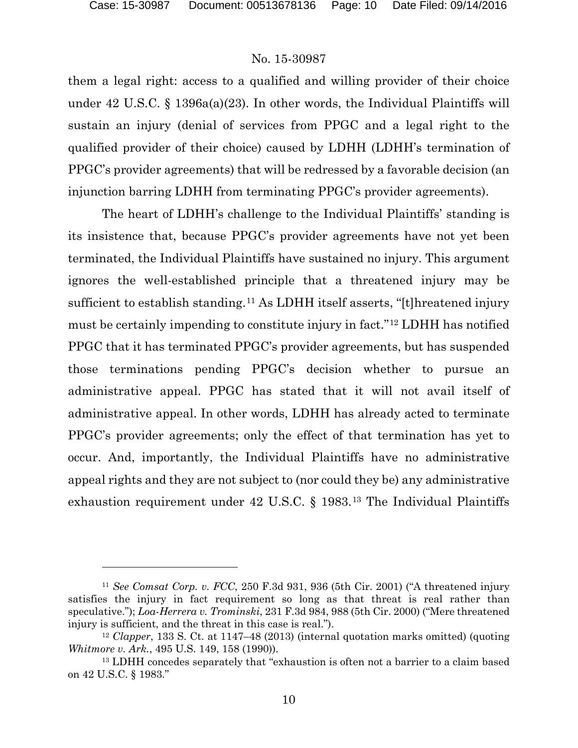$\overline{a}$ 

#### No. 15-30987

them a legal right: access to a qualified and willing provider of their choice under 42 U.S.C. § 1396a(a)(23). In other words, the Individual Plaintiffs will sustain an injury (denial of services from PPGC and a legal right to the qualified provider of their choice) caused by LDHH (LDHH's termination of PPGC's provider agreements) that will be redressed by a favorable decision (an injunction barring LDHH from terminating PPGC's provider agreements).

The heart of LDHH's challenge to the Individual Plaintiffs' standing is its insistence that, because PPGC's provider agreements have not yet been terminated, the Individual Plaintiffs have sustained no injury. This argument ignores the well-established principle that a threatened injury may be sufficient to establish standing.[11](#page-9-0) As LDHH itself asserts, "[t]hreatened injury must be certainly impending to constitute injury in fact."[12](#page-9-1) LDHH has notified PPGC that it has terminated PPGC's provider agreements, but has suspended those terminations pending PPGC's decision whether to pursue an administrative appeal. PPGC has stated that it will not avail itself of administrative appeal. In other words, LDHH has already acted to terminate PPGC's provider agreements; only the effect of that termination has yet to occur. And, importantly, the Individual Plaintiffs have no administrative appeal rights and they are not subject to (nor could they be) any administrative exhaustion requirement under 42 U.S.C. § 1983.[13](#page-9-2) The Individual Plaintiffs

<span id="page-9-0"></span><sup>11</sup> *See Comsat Corp. v. FCC*, 250 F.3d 931, 936 (5th Cir. 2001) ("A threatened injury satisfies the injury in fact requirement so long as that threat is real rather than speculative."); *Loa-Herrera v. Trominski*, 231 F.3d 984, 988 (5th Cir. 2000) ("Mere threatened injury is sufficient, and the threat in this case is real.").

<span id="page-9-1"></span><sup>12</sup> *Clapper*, 133 S. Ct. at 1147–48 (2013) (internal quotation marks omitted) (quoting *Whitmore v. Ark.*, 495 U.S. 149, 158 (1990)).

<span id="page-9-2"></span><sup>13</sup> LDHH concedes separately that "exhaustion is often not a barrier to a claim based on 42 U.S.C. § 1983."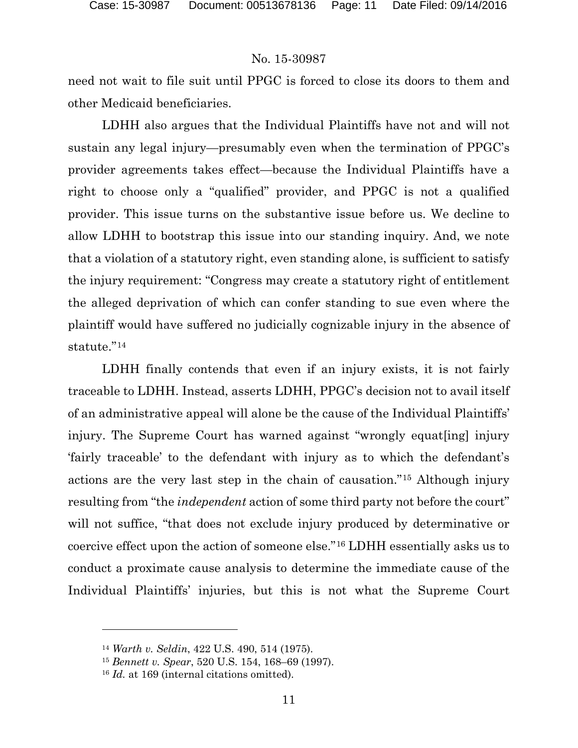need not wait to file suit until PPGC is forced to close its doors to them and other Medicaid beneficiaries.

LDHH also argues that the Individual Plaintiffs have not and will not sustain any legal injury—presumably even when the termination of PPGC's provider agreements takes effect—because the Individual Plaintiffs have a right to choose only a "qualified" provider, and PPGC is not a qualified provider. This issue turns on the substantive issue before us. We decline to allow LDHH to bootstrap this issue into our standing inquiry. And, we note that a violation of a statutory right, even standing alone, is sufficient to satisfy the injury requirement: "Congress may create a statutory right of entitlement the alleged deprivation of which can confer standing to sue even where the plaintiff would have suffered no judicially cognizable injury in the absence of statute."<sup>[14](#page-10-0)</sup>

LDHH finally contends that even if an injury exists, it is not fairly traceable to LDHH. Instead, asserts LDHH, PPGC's decision not to avail itself of an administrative appeal will alone be the cause of the Individual Plaintiffs' injury. The Supreme Court has warned against "wrongly equat[ing] injury 'fairly traceable' to the defendant with injury as to which the defendant's actions are the very last step in the chain of causation."[15](#page-10-1) Although injury resulting from "the *independent* action of some third party not before the court" will not suffice, "that does not exclude injury produced by determinative or coercive effect upon the action of someone else."[16](#page-10-2) LDHH essentially asks us to conduct a proximate cause analysis to determine the immediate cause of the Individual Plaintiffs' injuries, but this is not what the Supreme Court

<span id="page-10-0"></span><sup>14</sup> *Warth v. Seldin*, 422 U.S. 490, 514 (1975).

<span id="page-10-1"></span><sup>15</sup> *Bennett v. Spear*, 520 U.S. 154, 168–69 (1997).

<span id="page-10-2"></span><sup>16</sup> *Id.* at 169 (internal citations omitted).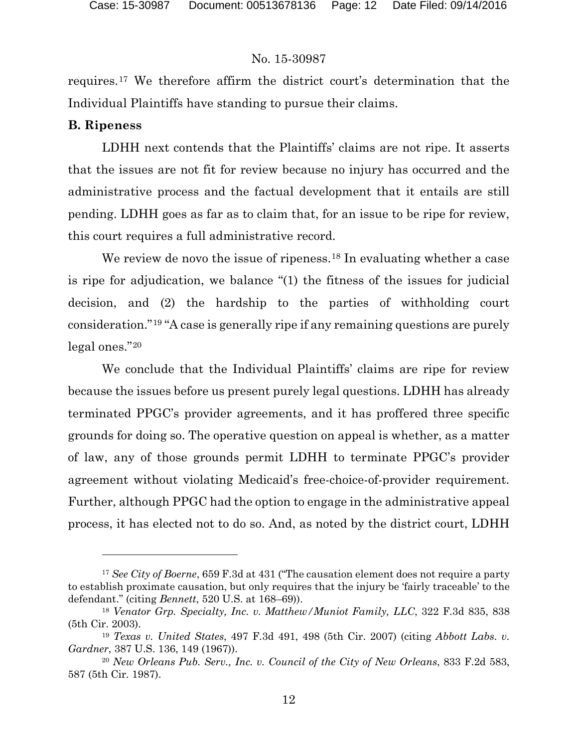requires.[17](#page-11-0) We therefore affirm the district court's determination that the Individual Plaintiffs have standing to pursue their claims.

#### **B. Ripeness**

 $\overline{a}$ 

LDHH next contends that the Plaintiffs' claims are not ripe. It asserts that the issues are not fit for review because no injury has occurred and the administrative process and the factual development that it entails are still pending. LDHH goes as far as to claim that, for an issue to be ripe for review, this court requires a full administrative record.

We review de novo the issue of ripeness.<sup>[18](#page-11-1)</sup> In evaluating whether a case is ripe for adjudication, we balance "(1) the fitness of the issues for judicial decision, and (2) the hardship to the parties of withholding court consideration."[19](#page-11-2) "A case is generally ripe if any remaining questions are purely legal ones."[20](#page-11-3)

We conclude that the Individual Plaintiffs' claims are ripe for review because the issues before us present purely legal questions. LDHH has already terminated PPGC's provider agreements, and it has proffered three specific grounds for doing so. The operative question on appeal is whether, as a matter of law, any of those grounds permit LDHH to terminate PPGC's provider agreement without violating Medicaid's free-choice-of-provider requirement. Further, although PPGC had the option to engage in the administrative appeal process, it has elected not to do so. And, as noted by the district court, LDHH

<span id="page-11-0"></span><sup>&</sup>lt;sup>17</sup> *See City of Boerne*, 659 F.3d at 431 ("The causation element does not require a party to establish proximate causation, but only requires that the injury be 'fairly traceable' to the defendant." (citing *Bennett*, 520 U.S. at 168–69)).

<span id="page-11-1"></span><sup>18</sup> *Venator Grp. Specialty, Inc. v. Matthew/Muniot Family, LLC*, 322 F.3d 835, 838 (5th Cir. 2003).

<span id="page-11-2"></span><sup>19</sup> *Texas v. United States*, 497 F.3d 491, 498 (5th Cir. 2007) (citing *Abbott Labs. v. Gardner*, 387 U.S. 136, 149 (1967)).

<span id="page-11-3"></span><sup>20</sup> *New Orleans Pub. Serv., Inc. v. Council of the City of New Orleans*, 833 F.2d 583, 587 (5th Cir. 1987).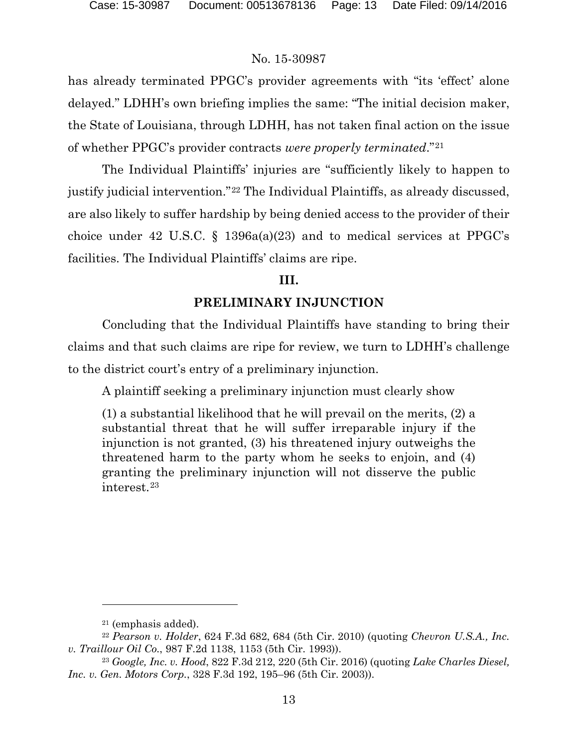has already terminated PPGC's provider agreements with "its 'effect' alone delayed." LDHH's own briefing implies the same: "The initial decision maker, the State of Louisiana, through LDHH, has not taken final action on the issue of whether PPGC's provider contracts *were properly terminated*."[21](#page-12-0)

The Individual Plaintiffs' injuries are "sufficiently likely to happen to justify judicial intervention."[22](#page-12-1) The Individual Plaintiffs, as already discussed, are also likely to suffer hardship by being denied access to the provider of their choice under 42 U.S.C. § 1396a(a)(23) and to medical services at PPGC's facilities. The Individual Plaintiffs' claims are ripe.

## **III.**

## **PRELIMINARY INJUNCTION**

Concluding that the Individual Plaintiffs have standing to bring their claims and that such claims are ripe for review, we turn to LDHH's challenge to the district court's entry of a preliminary injunction.

A plaintiff seeking a preliminary injunction must clearly show

(1) a substantial likelihood that he will prevail on the merits, (2) a substantial threat that he will suffer irreparable injury if the injunction is not granted, (3) his threatened injury outweighs the threatened harm to the party whom he seeks to enjoin, and (4) granting the preliminary injunction will not disserve the public interest.[23](#page-12-2)

<sup>21</sup> (emphasis added).

<span id="page-12-1"></span><span id="page-12-0"></span><sup>22</sup> *Pearson v. Holder*, 624 F.3d 682, 684 (5th Cir. 2010) (quoting *Chevron U.S.A., Inc. v. Traillour Oil Co.*, 987 F.2d 1138, 1153 (5th Cir. 1993)).

<span id="page-12-2"></span><sup>23</sup> *Google, Inc. v. Hood*, 822 F.3d 212, 220 (5th Cir. 2016) (quoting *Lake Charles Diesel, Inc. v. Gen. Motors Corp.*, 328 F.3d 192, 195–96 (5th Cir. 2003)).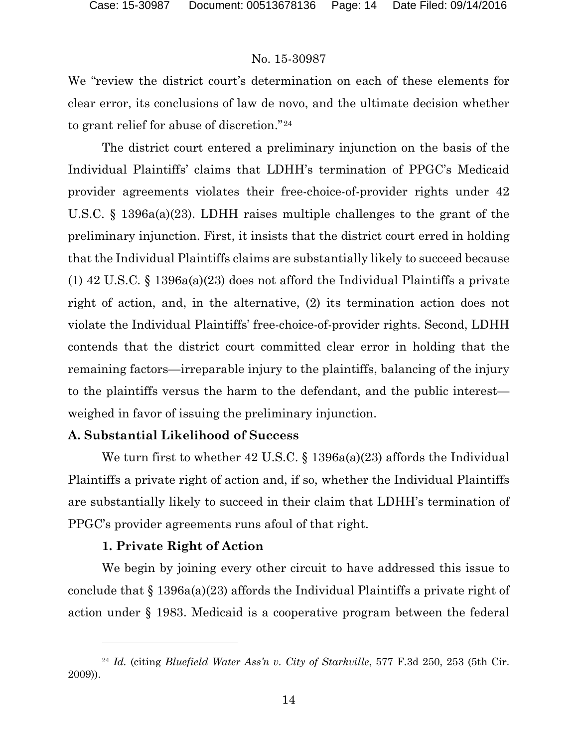We "review the district court's determination on each of these elements for clear error, its conclusions of law de novo, and the ultimate decision whether to grant relief for abuse of discretion."[24](#page-13-0)

The district court entered a preliminary injunction on the basis of the Individual Plaintiffs' claims that LDHH's termination of PPGC's Medicaid provider agreements violates their free-choice-of-provider rights under 42 U.S.C. § 1396a(a)(23). LDHH raises multiple challenges to the grant of the preliminary injunction. First, it insists that the district court erred in holding that the Individual Plaintiffs claims are substantially likely to succeed because (1) 42 U.S.C. § 1396a(a)(23) does not afford the Individual Plaintiffs a private right of action, and, in the alternative, (2) its termination action does not violate the Individual Plaintiffs' free-choice-of-provider rights. Second, LDHH contends that the district court committed clear error in holding that the remaining factors—irreparable injury to the plaintiffs, balancing of the injury to the plaintiffs versus the harm to the defendant, and the public interest weighed in favor of issuing the preliminary injunction.

## **A. Substantial Likelihood of Success**

We turn first to whether 42 U.S.C. § 1396a(a)(23) affords the Individual Plaintiffs a private right of action and, if so, whether the Individual Plaintiffs are substantially likely to succeed in their claim that LDHH's termination of PPGC's provider agreements runs afoul of that right.

## **1. Private Right of Action**

 $\overline{a}$ 

We begin by joining every other circuit to have addressed this issue to conclude that § 1396a(a)(23) affords the Individual Plaintiffs a private right of action under § 1983. Medicaid is a cooperative program between the federal

<span id="page-13-0"></span><sup>24</sup> *Id.* (citing *Bluefield Water Ass'n v. City of Starkville*, 577 F.3d 250, 253 (5th Cir. 2009)).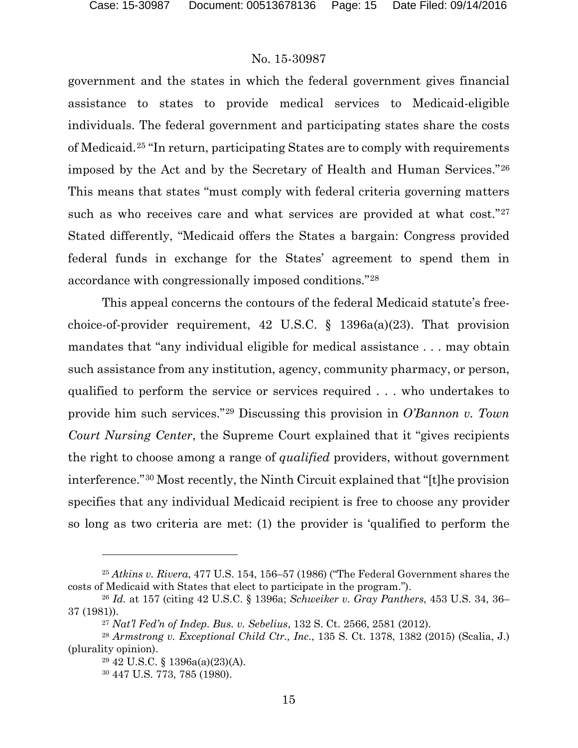government and the states in which the federal government gives financial assistance to states to provide medical services to Medicaid-eligible individuals. The federal government and participating states share the costs of Medicaid.[25](#page-14-0) "In return, participating States are to comply with requirements imposed by the Act and by the Secretary of Health and Human Services."[26](#page-14-1) This means that states "must comply with federal criteria governing matters such as who receives care and what services are provided at what cost."<sup>[27](#page-14-2)</sup> Stated differently, "Medicaid offers the States a bargain: Congress provided federal funds in exchange for the States' agreement to spend them in accordance with congressionally imposed conditions."[28](#page-14-3)

This appeal concerns the contours of the federal Medicaid statute's freechoice-of-provider requirement, 42 U.S.C.  $\S$  1396a(a)(23). That provision mandates that "any individual eligible for medical assistance . . . may obtain such assistance from any institution, agency, community pharmacy, or person, qualified to perform the service or services required . . . who undertakes to provide him such services."[29](#page-14-4) Discussing this provision in *O'Bannon v. Town Court Nursing Center*, the Supreme Court explained that it "gives recipients the right to choose among a range of *qualified* providers, without government interference."[30](#page-14-5) Most recently, the Ninth Circuit explained that "[t]he provision specifies that any individual Medicaid recipient is free to choose any provider so long as two criteria are met: (1) the provider is 'qualified to perform the

<span id="page-14-0"></span><sup>25</sup> *Atkins v. Rivera*, 477 U.S. 154, 156–57 (1986) ("The Federal Government shares the costs of Medicaid with States that elect to participate in the program.").

<span id="page-14-1"></span><sup>26</sup> *Id.* at 157 (citing 42 U.S.C. § 1396a; *Schweiker v. Gray Panthers*, 453 U.S. 34, 36– 37 (1981)).

<sup>27</sup> *Nat'l Fed'n of Indep. Bus. v. Sebelius*, 132 S. Ct. 2566, 2581 (2012).

<span id="page-14-5"></span><span id="page-14-4"></span><span id="page-14-3"></span><span id="page-14-2"></span><sup>28</sup> *Armstrong v. Exceptional Child Ctr., Inc.*, 135 S. Ct. 1378, 1382 (2015) (Scalia, J.) (plurality opinion).

<sup>29</sup> 42 U.S.C. § 1396a(a)(23)(A).

<sup>30</sup> 447 U.S. 773, 785 (1980).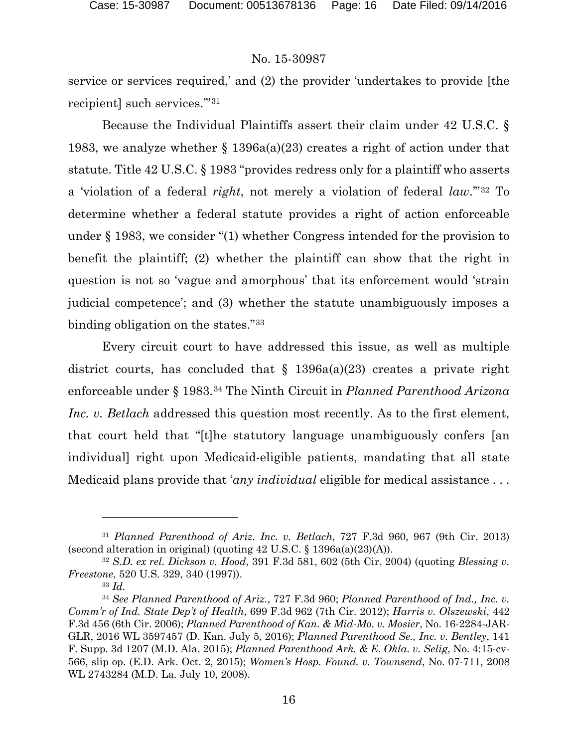service or services required,' and (2) the provider 'undertakes to provide [the recipient] such services.'"[31](#page-15-0)

Because the Individual Plaintiffs assert their claim under 42 U.S.C. § 1983, we analyze whether § 1396a(a)(23) creates a right of action under that statute. Title 42 U.S.C. § 1983 "provides redress only for a plaintiff who asserts a 'violation of a federal *right*, not merely a violation of federal *law*.'"[32](#page-15-1) To determine whether a federal statute provides a right of action enforceable under § 1983, we consider "(1) whether Congress intended for the provision to benefit the plaintiff; (2) whether the plaintiff can show that the right in question is not so 'vague and amorphous' that its enforcement would 'strain judicial competence'; and (3) whether the statute unambiguously imposes a binding obligation on the states."[33](#page-15-2)

Every circuit court to have addressed this issue, as well as multiple district courts, has concluded that  $\S$  1396a(a)(23) creates a private right enforceable under § 1983.[34](#page-15-3) The Ninth Circuit in *Planned Parenthood Arizona Inc. v. Betlach* addressed this question most recently. As to the first element, that court held that "[t]he statutory language unambiguously confers [an individual] right upon Medicaid-eligible patients, mandating that all state Medicaid plans provide that '*any individual* eligible for medical assistance . . .

<span id="page-15-0"></span><sup>31</sup> *Planned Parenthood of Ariz. Inc. v. Betlach*, 727 F.3d 960, 967 (9th Cir. 2013) (second alteration in original) (quoting 42 U.S.C. § 1396a(a)(23)(A)).

<span id="page-15-1"></span><sup>32</sup> *S.D. ex rel. Dickson v. Hood*, 391 F.3d 581, 602 (5th Cir. 2004) (quoting *Blessing v. Freestone*, 520 U.S. 329, 340 (1997)).

<sup>33</sup> *Id.*

<span id="page-15-3"></span><span id="page-15-2"></span><sup>34</sup> *See Planned Parenthood of Ariz.*, 727 F.3d 960; *Planned Parenthood of Ind., Inc. v. Comm'r of Ind. State Dep't of Health*, 699 F.3d 962 (7th Cir. 2012); *Harris v. Olszewski*, 442 F.3d 456 (6th Cir. 2006); *Planned Parenthood of Kan. & Mid-Mo. v. Mosier*, No. 16-2284-JAR-GLR, 2016 WL 3597457 (D. Kan. July 5, 2016); *Planned Parenthood Se., Inc. v. Bentley*, 141 F. Supp. 3d 1207 (M.D. Ala. 2015); *Planned Parenthood Ark. & E. Okla. v. Selig*, No. 4:15-cv-566, slip op. (E.D. Ark. Oct. 2, 2015); *Women's Hosp. Found. v. Townsend*, No. 07-711, 2008 WL 2743284 (M.D. La. July 10, 2008).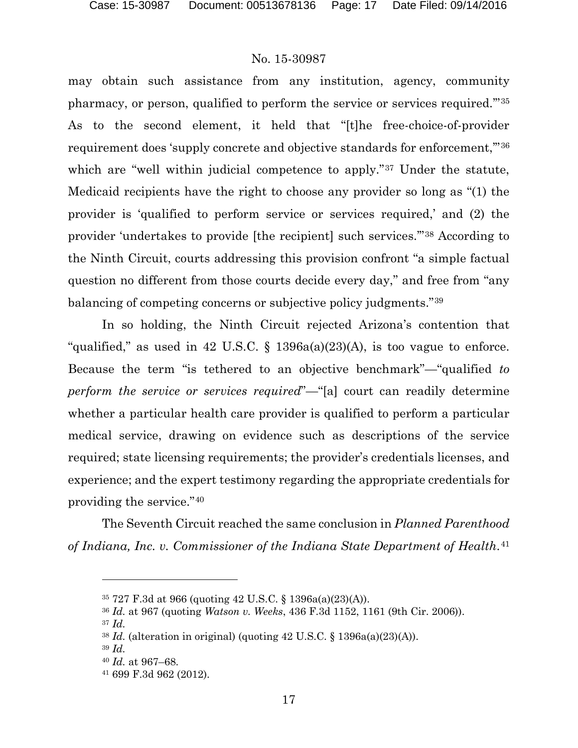may obtain such assistance from any institution, agency, community pharmacy, or person, qualified to perform the service or services required.'"[35](#page-16-0) As to the second element, it held that "[t]he free-choice-of-provider requirement does 'supply concrete and objective standards for enforcement,'"[36](#page-16-1) which are "well within judicial competence to apply."<sup>[37](#page-16-2)</sup> Under the statute, Medicaid recipients have the right to choose any provider so long as "(1) the provider is 'qualified to perform service or services required,' and (2) the provider 'undertakes to provide [the recipient] such services.'"[38](#page-16-3) According to the Ninth Circuit, courts addressing this provision confront "a simple factual question no different from those courts decide every day," and free from "any balancing of competing concerns or subjective policy judgments."[39](#page-16-4)

In so holding, the Ninth Circuit rejected Arizona's contention that "qualified," as used in 42 U.S.C.  $\S$  1396a(a)(23)(A), is too vague to enforce. Because the term "is tethered to an objective benchmark"—"qualified *to perform the service or services required*"—"[a] court can readily determine whether a particular health care provider is qualified to perform a particular medical service, drawing on evidence such as descriptions of the service required; state licensing requirements; the provider's credentials licenses, and experience; and the expert testimony regarding the appropriate credentials for providing the service."[40](#page-16-5)

<span id="page-16-0"></span>The Seventh Circuit reached the same conclusion in *Planned Parenthood of Indiana, Inc. v. Commissioner of the Indiana State Department of Health*.[41](#page-16-6)

<sup>35</sup> 727 F.3d at 966 (quoting 42 U.S.C. § 1396a(a)(23)(A)).

<span id="page-16-2"></span><span id="page-16-1"></span><sup>36</sup> *Id.* at 967 (quoting *Watson v. Weeks*, 436 F.3d 1152, 1161 (9th Cir. 2006)).

<sup>37</sup> *Id.*

 $38$  *Id.* (alteration in original) (quoting 42 U.S.C. § 1396a(a)(23)(A)).

<span id="page-16-5"></span><span id="page-16-4"></span><span id="page-16-3"></span><sup>39</sup> *Id.*

<sup>40</sup> *Id.* at 967–68.

<span id="page-16-6"></span><sup>41</sup> 699 F.3d 962 (2012).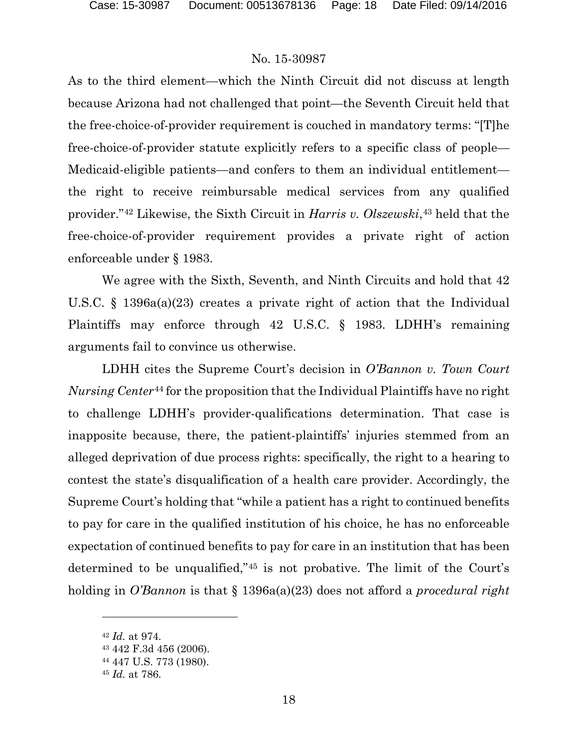As to the third element—which the Ninth Circuit did not discuss at length because Arizona had not challenged that point—the Seventh Circuit held that the free-choice-of-provider requirement is couched in mandatory terms: "[T]he free-choice-of-provider statute explicitly refers to a specific class of people— Medicaid-eligible patients—and confers to them an individual entitlement the right to receive reimbursable medical services from any qualified provider."[42](#page-17-0) Likewise, the Sixth Circuit in *Harris v. Olszewski*,[43](#page-17-1) held that the free-choice-of-provider requirement provides a private right of action enforceable under § 1983.

We agree with the Sixth, Seventh, and Ninth Circuits and hold that 42 U.S.C. § 1396a(a)(23) creates a private right of action that the Individual Plaintiffs may enforce through 42 U.S.C. § 1983. LDHH's remaining arguments fail to convince us otherwise.

LDHH cites the Supreme Court's decision in *O'Bannon v. Town Court Nursing Center*[44](#page-17-2) for the proposition that the Individual Plaintiffs have no right to challenge LDHH's provider-qualifications determination. That case is inapposite because, there, the patient-plaintiffs' injuries stemmed from an alleged deprivation of due process rights: specifically, the right to a hearing to contest the state's disqualification of a health care provider. Accordingly, the Supreme Court's holding that "while a patient has a right to continued benefits to pay for care in the qualified institution of his choice, he has no enforceable expectation of continued benefits to pay for care in an institution that has been determined to be unqualified,"[45](#page-17-3) is not probative. The limit of the Court's holding in *O'Bannon* is that § 1396a(a)(23) does not afford a *procedural right*

<span id="page-17-0"></span><sup>42</sup> *Id.* at 974.

<span id="page-17-1"></span><sup>43</sup> 442 F.3d 456 (2006).

<span id="page-17-2"></span><sup>44</sup> 447 U.S. 773 (1980).

<span id="page-17-3"></span><sup>45</sup> *Id.* at 786.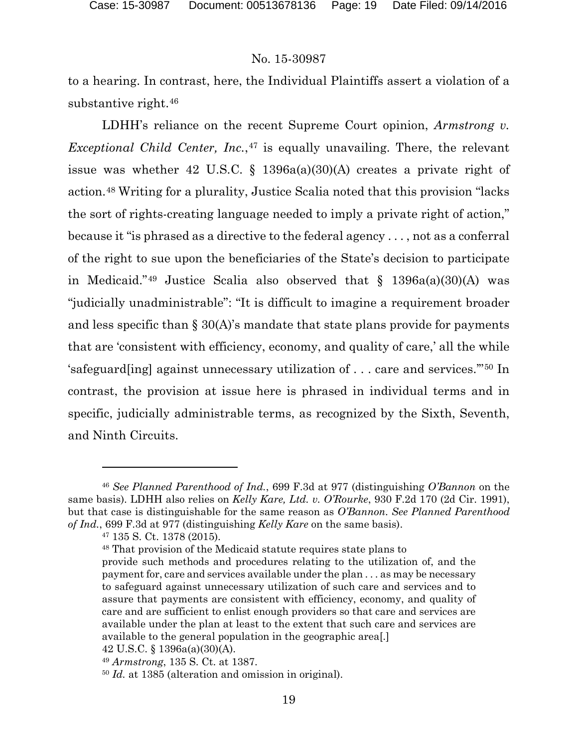to a hearing. In contrast, here, the Individual Plaintiffs assert a violation of a substantive right.[46](#page-18-0)

LDHH's reliance on the recent Supreme Court opinion, *Armstrong v. Exceptional Child Center, Inc.*,<sup>[47](#page-18-1)</sup> is equally unavailing. There, the relevant issue was whether 42 U.S.C.  $\S$  1396a(a)(30)(A) creates a private right of action.[48](#page-18-2) Writing for a plurality, Justice Scalia noted that this provision "lacks the sort of rights-creating language needed to imply a private right of action," because it "is phrased as a directive to the federal agency . . . , not as a conferral of the right to sue upon the beneficiaries of the State's decision to participate in Medicaid."<sup>[49](#page-18-3)</sup> Justice Scalia also observed that  $\S$  1396a(a)(30)(A) was "judicially unadministrable": "It is difficult to imagine a requirement broader and less specific than  $\S 30(A)$ 's mandate that state plans provide for payments that are 'consistent with efficiency, economy, and quality of care,' all the while 'safeguard[ing] against unnecessary utilization of . . . care and services.'"[50](#page-18-4) In contrast, the provision at issue here is phrased in individual terms and in specific, judicially administrable terms, as recognized by the Sixth, Seventh, and Ninth Circuits.

<span id="page-18-2"></span><span id="page-18-1"></span><span id="page-18-0"></span><sup>46</sup> *See Planned Parenthood of Ind.*, 699 F.3d at 977 (distinguishing *O'Bannon* on the same basis). LDHH also relies on *Kelly Kare, Ltd. v. O'Rourke*, 930 F.2d 170 (2d Cir. 1991), but that case is distinguishable for the same reason as *O'Bannon*. *See Planned Parenthood of Ind.*, 699 F.3d at 977 (distinguishing *Kelly Kare* on the same basis).

<sup>47</sup> 135 S. Ct. 1378 (2015).

<sup>48</sup> That provision of the Medicaid statute requires state plans to provide such methods and procedures relating to the utilization of, and the payment for, care and services available under the plan . . . as may be necessary to safeguard against unnecessary utilization of such care and services and to assure that payments are consistent with efficiency, economy, and quality of care and are sufficient to enlist enough providers so that care and services are available under the plan at least to the extent that such care and services are available to the general population in the geographic area[.]

<sup>42</sup> U.S.C. § 1396a(a)(30)(A).

<span id="page-18-3"></span><sup>49</sup> *Armstrong*, 135 S. Ct. at 1387.

<span id="page-18-4"></span><sup>50</sup> *Id.* at 1385 (alteration and omission in original).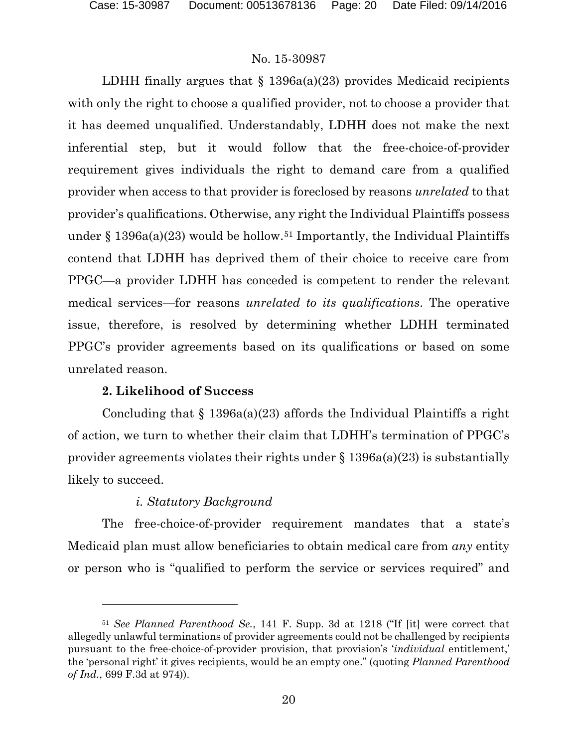LDHH finally argues that  $\S$  1396a(a)(23) provides Medicaid recipients with only the right to choose a qualified provider, not to choose a provider that it has deemed unqualified. Understandably, LDHH does not make the next inferential step, but it would follow that the free-choice-of-provider requirement gives individuals the right to demand care from a qualified provider when access to that provider is foreclosed by reasons *unrelated* to that provider's qualifications. Otherwise, any right the Individual Plaintiffs possess under  $\S 1396a(a)(23)$  would be hollow.<sup>[51](#page-19-0)</sup> Importantly, the Individual Plaintiffs contend that LDHH has deprived them of their choice to receive care from PPGC—a provider LDHH has conceded is competent to render the relevant medical services—for reasons *unrelated to its qualifications*. The operative issue, therefore, is resolved by determining whether LDHH terminated PPGC's provider agreements based on its qualifications or based on some unrelated reason.

## **2. Likelihood of Success**

 $\overline{a}$ 

Concluding that  $\S$  1396a(a)(23) affords the Individual Plaintiffs a right of action, we turn to whether their claim that LDHH's termination of PPGC's provider agreements violates their rights under  $\S 1396a(a)(23)$  is substantially likely to succeed.

## *i. Statutory Background*

The free-choice-of-provider requirement mandates that a state's Medicaid plan must allow beneficiaries to obtain medical care from *any* entity or person who is "qualified to perform the service or services required" and

<span id="page-19-0"></span><sup>51</sup> *See Planned Parenthood Se.*, 141 F. Supp. 3d at 1218 ("If [it] were correct that allegedly unlawful terminations of provider agreements could not be challenged by recipients pursuant to the free-choice-of-provider provision, that provision's '*individual* entitlement,' the 'personal right' it gives recipients, would be an empty one." (quoting *Planned Parenthood of Ind.*, 699 F.3d at 974)).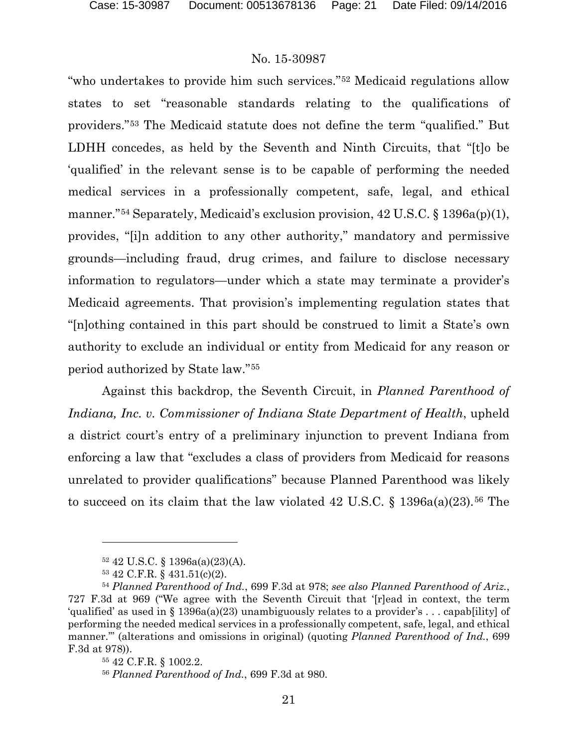"who undertakes to provide him such services."[52](#page-20-0) Medicaid regulations allow states to set "reasonable standards relating to the qualifications of providers."[53](#page-20-1) The Medicaid statute does not define the term "qualified." But LDHH concedes, as held by the Seventh and Ninth Circuits, that "[t]o be 'qualified' in the relevant sense is to be capable of performing the needed medical services in a professionally competent, safe, legal, and ethical manner."[54](#page-20-2) Separately, Medicaid's exclusion provision, 42 U.S.C. § 1396a(p)(1), provides, "[i]n addition to any other authority," mandatory and permissive grounds—including fraud, drug crimes, and failure to disclose necessary information to regulators—under which a state may terminate a provider's Medicaid agreements. That provision's implementing regulation states that "[n]othing contained in this part should be construed to limit a State's own authority to exclude an individual or entity from Medicaid for any reason or period authorized by State law."[55](#page-20-3)

Against this backdrop, the Seventh Circuit, in *Planned Parenthood of Indiana, Inc. v. Commissioner of Indiana State Department of Health*, upheld a district court's entry of a preliminary injunction to prevent Indiana from enforcing a law that "excludes a class of providers from Medicaid for reasons unrelated to provider qualifications" because Planned Parenthood was likely to succeed on its claim that the law violated 42 U.S.C. § 1396a(a)(23).<sup>[56](#page-20-4)</sup> The

<sup>52</sup> 42 U.S.C. § 1396a(a)(23)(A).

<sup>53</sup> 42 C.F.R. § 431.51(c)(2).

<span id="page-20-3"></span><span id="page-20-2"></span><span id="page-20-1"></span><span id="page-20-0"></span><sup>54</sup> *Planned Parenthood of Ind.*, 699 F.3d at 978; *see also Planned Parenthood of Ariz.*, 727 F.3d at 969 ("We agree with the Seventh Circuit that '[r]ead in context, the term 'qualified' as used in § 1396a(a)(23) unambiguously relates to a provider's . . . capab[ility] of performing the needed medical services in a professionally competent, safe, legal, and ethical manner.'" (alterations and omissions in original) (quoting *Planned Parenthood of Ind.*, 699 F.3d at 978)).

<sup>55</sup> 42 C.F.R. § 1002.2.

<span id="page-20-4"></span><sup>56</sup> *Planned Parenthood of Ind.*, 699 F.3d at 980.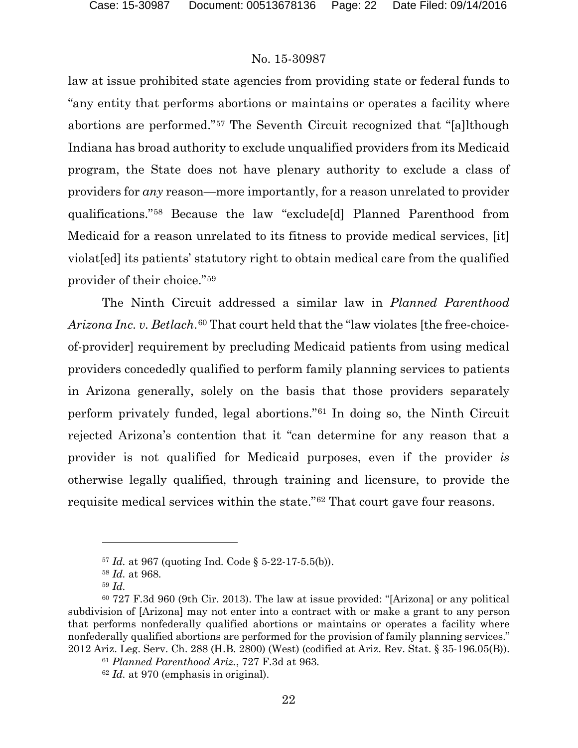law at issue prohibited state agencies from providing state or federal funds to "any entity that performs abortions or maintains or operates a facility where abortions are performed."[57](#page-21-0) The Seventh Circuit recognized that "[a]lthough Indiana has broad authority to exclude unqualified providers from its Medicaid program, the State does not have plenary authority to exclude a class of providers for *any* reason—more importantly, for a reason unrelated to provider qualifications."[58](#page-21-1) Because the law "exclude[d] Planned Parenthood from Medicaid for a reason unrelated to its fitness to provide medical services, [it] violat[ed] its patients' statutory right to obtain medical care from the qualified provider of their choice."[59](#page-21-2)

The Ninth Circuit addressed a similar law in *Planned Parenthood Arizona Inc. v. Betlach*.[60](#page-21-3) That court held that the "law violates [the free-choiceof-provider] requirement by precluding Medicaid patients from using medical providers concededly qualified to perform family planning services to patients in Arizona generally, solely on the basis that those providers separately perform privately funded, legal abortions."[61](#page-21-4) In doing so, the Ninth Circuit rejected Arizona's contention that it "can determine for any reason that a provider is not qualified for Medicaid purposes, even if the provider *is* otherwise legally qualified, through training and licensure, to provide the requisite medical services within the state."[62](#page-21-5) That court gave four reasons.

<sup>57</sup> *Id.* at 967 (quoting Ind. Code § 5-22-17-5.5(b)).

<sup>58</sup> *Id.* at 968.

<sup>59</sup> *Id.*

<span id="page-21-5"></span><span id="page-21-4"></span><span id="page-21-3"></span><span id="page-21-2"></span><span id="page-21-1"></span><span id="page-21-0"></span> $60\,727$  F.3d 960 (9th Cir. 2013). The law at issue provided: "[Arizona] or any political subdivision of [Arizona] may not enter into a contract with or make a grant to any person that performs nonfederally qualified abortions or maintains or operates a facility where nonfederally qualified abortions are performed for the provision of family planning services." 2012 Ariz. Leg. Serv. Ch. 288 (H.B. 2800) (West) (codified at Ariz. Rev. Stat. § 35-196.05(B)).

<sup>61</sup> *Planned Parenthood Ariz.*, 727 F.3d at 963.

<sup>62</sup> *Id.* at 970 (emphasis in original).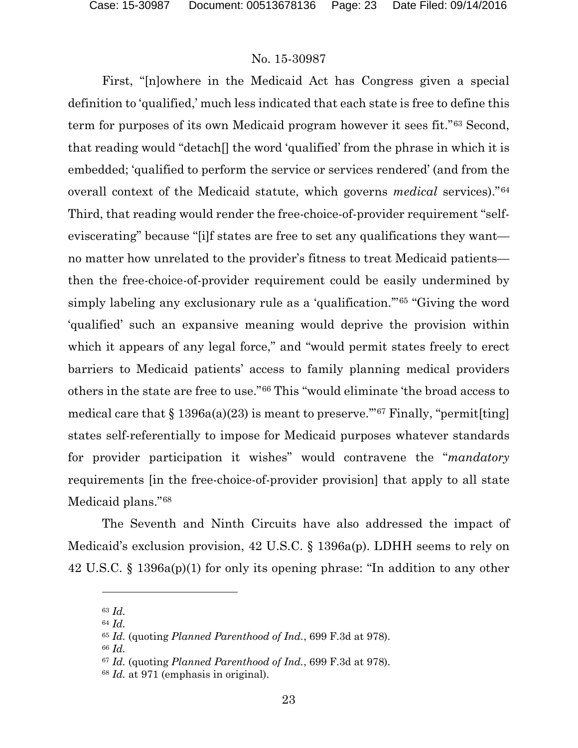First, "[n]owhere in the Medicaid Act has Congress given a special definition to 'qualified,' much less indicated that each state is free to define this term for purposes of its own Medicaid program however it sees fit."[63](#page-22-0) Second, that reading would "detach[] the word 'qualified' from the phrase in which it is embedded; 'qualified to perform the service or services rendered' (and from the overall context of the Medicaid statute, which governs *medical* services)."[64](#page-22-1) Third, that reading would render the free-choice-of-provider requirement "selfeviscerating" because "[i]f states are free to set any qualifications they want no matter how unrelated to the provider's fitness to treat Medicaid patients then the free-choice-of-provider requirement could be easily undermined by simply labeling any exclusionary rule as a 'qualification.'"[65](#page-22-2) "Giving the word 'qualified' such an expansive meaning would deprive the provision within which it appears of any legal force," and "would permit states freely to erect barriers to Medicaid patients' access to family planning medical providers others in the state are free to use."[66](#page-22-3) This "would eliminate 'the broad access to medical care that  $\S 1396a(a)(23)$  is meant to preserve."<sup>[67](#page-22-4)</sup> Finally, "permit[ting] states self-referentially to impose for Medicaid purposes whatever standards for provider participation it wishes" would contravene the "*mandatory*  requirements [in the free-choice-of-provider provision] that apply to all state Medicaid plans."[68](#page-22-5)

The Seventh and Ninth Circuits have also addressed the impact of Medicaid's exclusion provision, 42 U.S.C. § 1396a(p). LDHH seems to rely on 42 U.S.C. § 1396a(p)(1) for only its opening phrase: "In addition to any other

<span id="page-22-0"></span><sup>63</sup> *Id.*

<span id="page-22-1"></span><sup>64</sup> *Id.*

<span id="page-22-2"></span><sup>65</sup> *Id.* (quoting *Planned Parenthood of Ind.*, 699 F.3d at 978).

<span id="page-22-4"></span><span id="page-22-3"></span><sup>66</sup> *Id.*

<sup>67</sup> *Id.* (quoting *Planned Parenthood of Ind.*, 699 F.3d at 978).

<span id="page-22-5"></span><sup>68</sup> *Id.* at 971 (emphasis in original).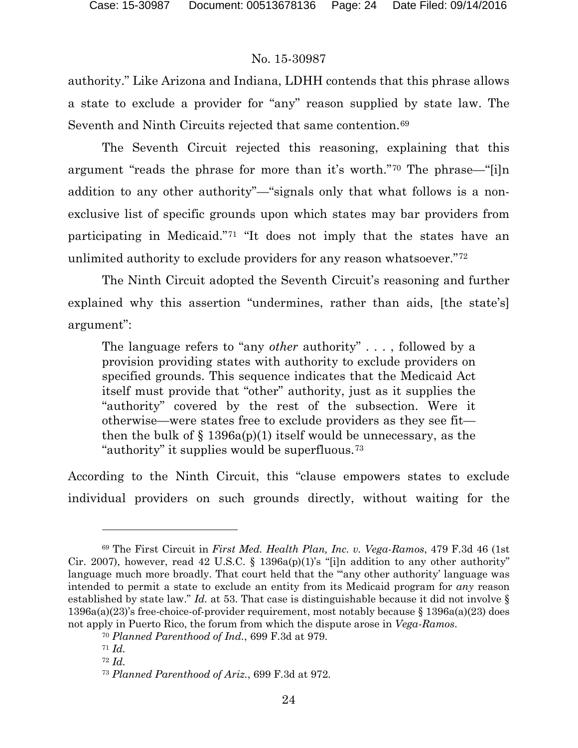authority." Like Arizona and Indiana, LDHH contends that this phrase allows a state to exclude a provider for "any" reason supplied by state law. The Seventh and Ninth Circuits rejected that same contention.<sup>[69](#page-23-0)</sup>

The Seventh Circuit rejected this reasoning, explaining that this argument "reads the phrase for more than it's worth."[70](#page-23-1) The phrase—"[i]n addition to any other authority"—"signals only that what follows is a nonexclusive list of specific grounds upon which states may bar providers from participating in Medicaid."[71](#page-23-2) "It does not imply that the states have an unlimited authority to exclude providers for any reason whatsoever."[72](#page-23-3)

The Ninth Circuit adopted the Seventh Circuit's reasoning and further explained why this assertion "undermines, rather than aids, [the state's] argument":

The language refers to "any *other* authority" . . . , followed by a provision providing states with authority to exclude providers on specified grounds. This sequence indicates that the Medicaid Act itself must provide that "other" authority, just as it supplies the "authority" covered by the rest of the subsection. Were it otherwise—were states free to exclude providers as they see fit then the bulk of  $\S$  1396a(p)(1) itself would be unnecessary, as the "authority" it supplies would be superfluous.[73](#page-23-4)

According to the Ninth Circuit, this "clause empowers states to exclude individual providers on such grounds directly, without waiting for the

<span id="page-23-0"></span><sup>69</sup> The First Circuit in *First Med. Health Plan, Inc. v. Vega-Ramos*, 479 F.3d 46 (1st Cir. 2007), however, read 42 U.S.C. § 1396a(p)(1)'s "[i]n addition to any other authority" language much more broadly. That court held that the "any other authority' language was intended to permit a state to exclude an entity from its Medicaid program for *any* reason established by state law." *Id.* at 53. That case is distinguishable because it did not involve § 1396a(a)(23)'s free-choice-of-provider requirement, most notably because § 1396a(a)(23) does not apply in Puerto Rico, the forum from which the dispute arose in *Vega-Ramos*.

<span id="page-23-1"></span><sup>70</sup> *Planned Parenthood of Ind.*, 699 F.3d at 979.

<span id="page-23-3"></span><span id="page-23-2"></span><sup>71</sup> *Id.*

<sup>72</sup> *Id.*

<span id="page-23-4"></span><sup>73</sup> *Planned Parenthood of Ariz.*, 699 F.3d at 972.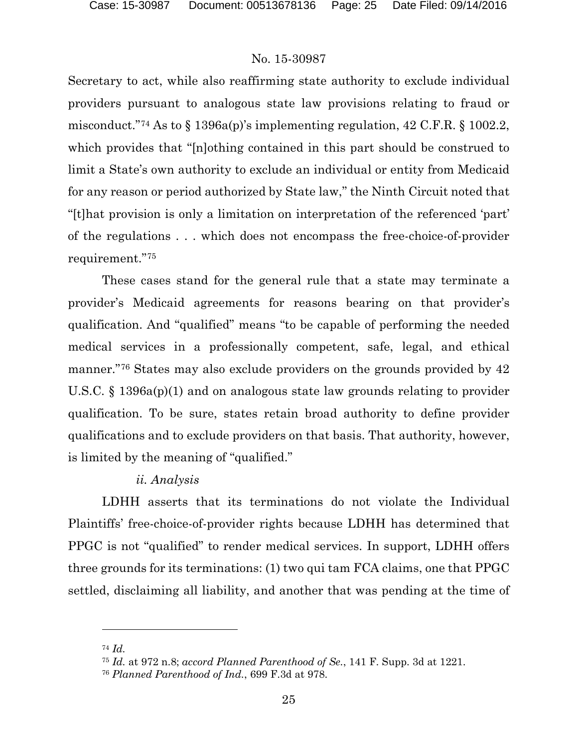Secretary to act, while also reaffirming state authority to exclude individual providers pursuant to analogous state law provisions relating to fraud or misconduct."[74](#page-24-0) As to § 1396a(p)'s implementing regulation, 42 C.F.R. § 1002.2, which provides that "[n]othing contained in this part should be construed to limit a State's own authority to exclude an individual or entity from Medicaid for any reason or period authorized by State law," the Ninth Circuit noted that "[t]hat provision is only a limitation on interpretation of the referenced 'part' of the regulations . . . which does not encompass the free-choice-of-provider requirement."[75](#page-24-1)

These cases stand for the general rule that a state may terminate a provider's Medicaid agreements for reasons bearing on that provider's qualification. And "qualified" means "to be capable of performing the needed medical services in a professionally competent, safe, legal, and ethical manner."[76](#page-24-2) States may also exclude providers on the grounds provided by 42 U.S.C. § 1396a(p)(1) and on analogous state law grounds relating to provider qualification. To be sure, states retain broad authority to define provider qualifications and to exclude providers on that basis. That authority, however, is limited by the meaning of "qualified."

#### *ii. Analysis*

LDHH asserts that its terminations do not violate the Individual Plaintiffs' free-choice-of-provider rights because LDHH has determined that PPGC is not "qualified" to render medical services. In support, LDHH offers three grounds for its terminations: (1) two qui tam FCA claims, one that PPGC settled, disclaiming all liability, and another that was pending at the time of

<span id="page-24-1"></span><span id="page-24-0"></span><sup>74</sup> *Id.*

<sup>75</sup> *Id.* at 972 n.8; *accord Planned Parenthood of Se.*, 141 F. Supp. 3d at 1221.

<span id="page-24-2"></span><sup>76</sup> *Planned Parenthood of Ind.*, 699 F.3d at 978.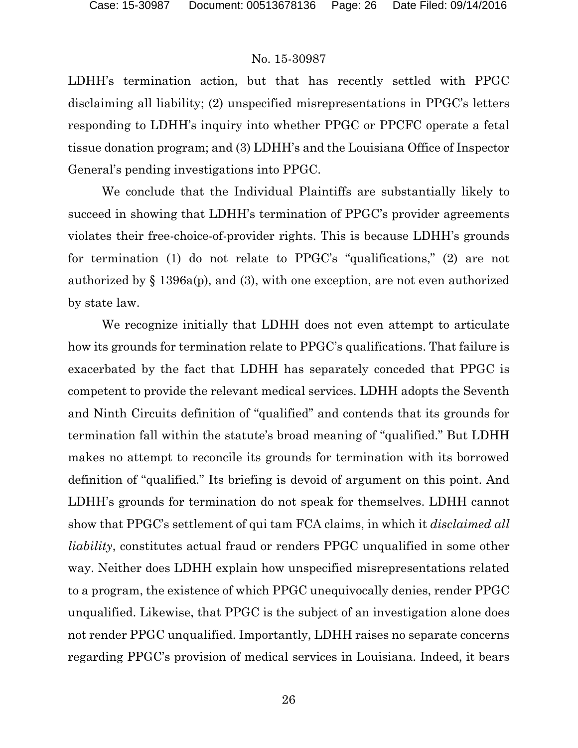LDHH's termination action, but that has recently settled with PPGC disclaiming all liability; (2) unspecified misrepresentations in PPGC's letters responding to LDHH's inquiry into whether PPGC or PPCFC operate a fetal tissue donation program; and (3) LDHH's and the Louisiana Office of Inspector General's pending investigations into PPGC.

We conclude that the Individual Plaintiffs are substantially likely to succeed in showing that LDHH's termination of PPGC's provider agreements violates their free-choice-of-provider rights. This is because LDHH's grounds for termination (1) do not relate to PPGC's "qualifications," (2) are not authorized by  $\S$  1396a(p), and (3), with one exception, are not even authorized by state law.

We recognize initially that LDHH does not even attempt to articulate how its grounds for termination relate to PPGC's qualifications. That failure is exacerbated by the fact that LDHH has separately conceded that PPGC is competent to provide the relevant medical services. LDHH adopts the Seventh and Ninth Circuits definition of "qualified" and contends that its grounds for termination fall within the statute's broad meaning of "qualified." But LDHH makes no attempt to reconcile its grounds for termination with its borrowed definition of "qualified." Its briefing is devoid of argument on this point. And LDHH's grounds for termination do not speak for themselves. LDHH cannot show that PPGC's settlement of qui tam FCA claims, in which it *disclaimed all liability*, constitutes actual fraud or renders PPGC unqualified in some other way. Neither does LDHH explain how unspecified misrepresentations related to a program, the existence of which PPGC unequivocally denies, render PPGC unqualified. Likewise, that PPGC is the subject of an investigation alone does not render PPGC unqualified. Importantly, LDHH raises no separate concerns regarding PPGC's provision of medical services in Louisiana. Indeed, it bears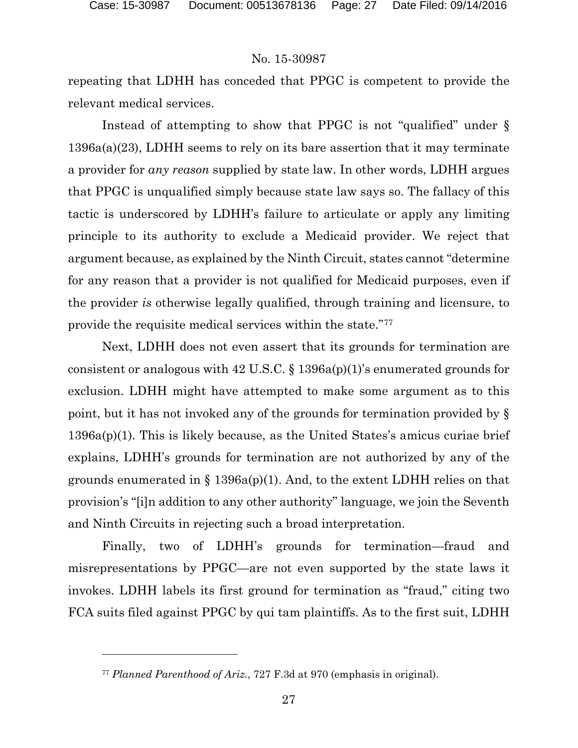$\overline{a}$ 

## No. 15-30987

repeating that LDHH has conceded that PPGC is competent to provide the relevant medical services.

Instead of attempting to show that PPGC is not "qualified" under § 1396a(a)(23), LDHH seems to rely on its bare assertion that it may terminate a provider for *any reason* supplied by state law. In other words, LDHH argues that PPGC is unqualified simply because state law says so. The fallacy of this tactic is underscored by LDHH's failure to articulate or apply any limiting principle to its authority to exclude a Medicaid provider. We reject that argument because, as explained by the Ninth Circuit, states cannot "determine for any reason that a provider is not qualified for Medicaid purposes, even if the provider *is* otherwise legally qualified, through training and licensure, to provide the requisite medical services within the state."[77](#page-26-0)

Next, LDHH does not even assert that its grounds for termination are consistent or analogous with 42 U.S.C.  $\S$  1396a(p)(1)'s enumerated grounds for exclusion. LDHH might have attempted to make some argument as to this point, but it has not invoked any of the grounds for termination provided by § 1396a(p)(1). This is likely because, as the United States's amicus curiae brief explains, LDHH's grounds for termination are not authorized by any of the grounds enumerated in  $\S$  1396a(p)(1). And, to the extent LDHH relies on that provision's "[i]n addition to any other authority" language, we join the Seventh and Ninth Circuits in rejecting such a broad interpretation.

Finally, two of LDHH's grounds for termination—fraud and misrepresentations by PPGC—are not even supported by the state laws it invokes. LDHH labels its first ground for termination as "fraud," citing two FCA suits filed against PPGC by qui tam plaintiffs. As to the first suit, LDHH

<span id="page-26-0"></span><sup>77</sup> *Planned Parenthood of Ariz.*, 727 F.3d at 970 (emphasis in original).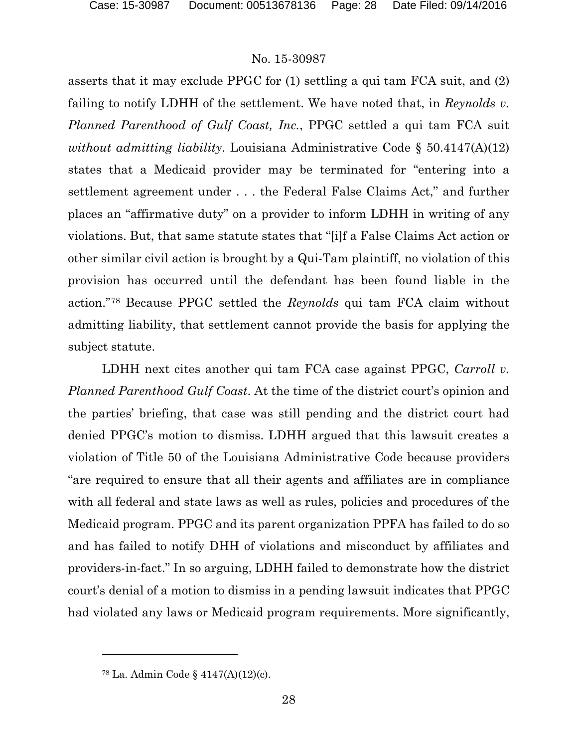asserts that it may exclude PPGC for (1) settling a qui tam FCA suit, and (2) failing to notify LDHH of the settlement. We have noted that, in *Reynolds v. Planned Parenthood of Gulf Coast, Inc.*, PPGC settled a qui tam FCA suit *without admitting liability*. Louisiana Administrative Code § 50.4147(A)(12) states that a Medicaid provider may be terminated for "entering into a settlement agreement under . . . the Federal False Claims Act," and further places an "affirmative duty" on a provider to inform LDHH in writing of any violations. But, that same statute states that "[i]f a False Claims Act action or other similar civil action is brought by a Qui-Tam plaintiff, no violation of this provision has occurred until the defendant has been found liable in the action."[78](#page-27-0) Because PPGC settled the *Reynolds* qui tam FCA claim without admitting liability, that settlement cannot provide the basis for applying the subject statute.

LDHH next cites another qui tam FCA case against PPGC, *Carroll v*. *Planned Parenthood Gulf Coast*. At the time of the district court's opinion and the parties' briefing, that case was still pending and the district court had denied PPGC's motion to dismiss. LDHH argued that this lawsuit creates a violation of Title 50 of the Louisiana Administrative Code because providers "are required to ensure that all their agents and affiliates are in compliance with all federal and state laws as well as rules, policies and procedures of the Medicaid program. PPGC and its parent organization PPFA has failed to do so and has failed to notify DHH of violations and misconduct by affiliates and providers-in-fact." In so arguing, LDHH failed to demonstrate how the district court's denial of a motion to dismiss in a pending lawsuit indicates that PPGC had violated any laws or Medicaid program requirements. More significantly,

<span id="page-27-0"></span><sup>78</sup> La. Admin Code § 4147(A)(12)(c).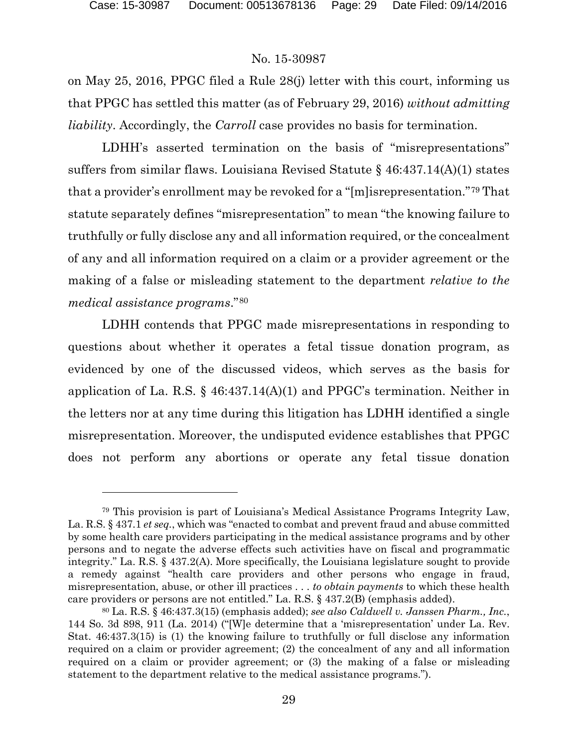$\overline{a}$ 

#### No. 15-30987

on May 25, 2016, PPGC filed a Rule 28(j) letter with this court, informing us that PPGC has settled this matter (as of February 29, 2016) *without admitting liability*. Accordingly, the *Carroll* case provides no basis for termination.

LDHH's asserted termination on the basis of "misrepresentations" suffers from similar flaws. Louisiana Revised Statute § 46:437.14(A)(1) states that a provider's enrollment may be revoked for a "[m]isrepresentation."[79](#page-28-0) That statute separately defines "misrepresentation" to mean "the knowing failure to truthfully or fully disclose any and all information required, or the concealment of any and all information required on a claim or a provider agreement or the making of a false or misleading statement to the department *relative to the medical assistance programs*."[80](#page-28-1)

LDHH contends that PPGC made misrepresentations in responding to questions about whether it operates a fetal tissue donation program, as evidenced by one of the discussed videos, which serves as the basis for application of La. R.S. § 46:437.14(A)(1) and PPGC's termination. Neither in the letters nor at any time during this litigation has LDHH identified a single misrepresentation. Moreover, the undisputed evidence establishes that PPGC does not perform any abortions or operate any fetal tissue donation

<span id="page-28-0"></span><sup>79</sup> This provision is part of Louisiana's Medical Assistance Programs Integrity Law, La. R.S. § 437.1 *et seq.*, which was "enacted to combat and prevent fraud and abuse committed by some health care providers participating in the medical assistance programs and by other persons and to negate the adverse effects such activities have on fiscal and programmatic integrity." La. R.S. § 437.2(A). More specifically, the Louisiana legislature sought to provide a remedy against "health care providers and other persons who engage in fraud, misrepresentation, abuse, or other ill practices . . . *to obtain payments* to which these health care providers or persons are not entitled." La. R.S. § 437.2(B) (emphasis added).

<span id="page-28-1"></span><sup>80</sup> La. R.S. § 46:437.3(15) (emphasis added); *see also Caldwell v. Janssen Pharm., Inc.*, 144 So. 3d 898, 911 (La. 2014) ("[W]e determine that a 'misrepresentation' under La. Rev. Stat. 46:437.3(15) is (1) the knowing failure to truthfully or full disclose any information required on a claim or provider agreement; (2) the concealment of any and all information required on a claim or provider agreement; or (3) the making of a false or misleading statement to the department relative to the medical assistance programs.").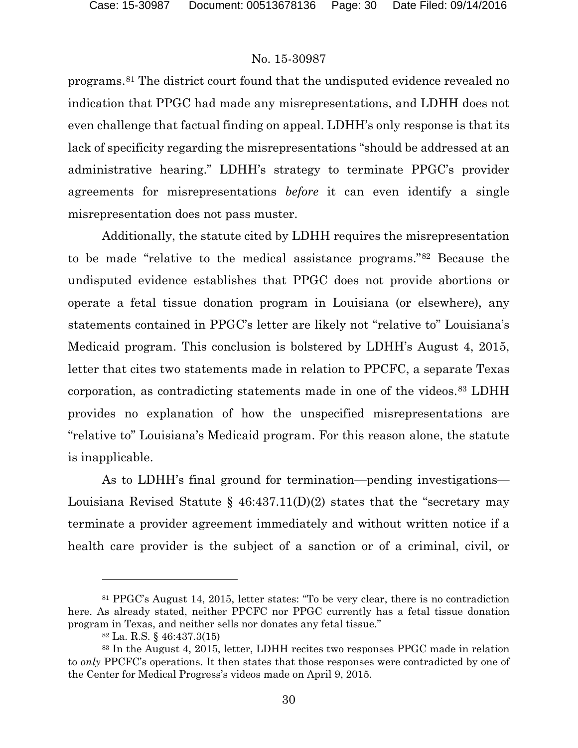programs.[81](#page-29-0) The district court found that the undisputed evidence revealed no indication that PPGC had made any misrepresentations, and LDHH does not even challenge that factual finding on appeal. LDHH's only response is that its lack of specificity regarding the misrepresentations "should be addressed at an administrative hearing." LDHH's strategy to terminate PPGC's provider agreements for misrepresentations *before* it can even identify a single misrepresentation does not pass muster.

Additionally, the statute cited by LDHH requires the misrepresentation to be made "relative to the medical assistance programs."[82](#page-29-1) Because the undisputed evidence establishes that PPGC does not provide abortions or operate a fetal tissue donation program in Louisiana (or elsewhere), any statements contained in PPGC's letter are likely not "relative to" Louisiana's Medicaid program. This conclusion is bolstered by LDHH's August 4, 2015, letter that cites two statements made in relation to PPCFC, a separate Texas corporation, as contradicting statements made in one of the videos.[83](#page-29-2) LDHH provides no explanation of how the unspecified misrepresentations are "relative to" Louisiana's Medicaid program. For this reason alone, the statute is inapplicable.

As to LDHH's final ground for termination—pending investigations— Louisiana Revised Statute §  $46:437.11(D)(2)$  states that the "secretary may terminate a provider agreement immediately and without written notice if a health care provider is the subject of a sanction or of a criminal, civil, or

<span id="page-29-0"></span><sup>81</sup> PPGC's August 14, 2015, letter states: "To be very clear, there is no contradiction here. As already stated, neither PPCFC nor PPGC currently has a fetal tissue donation program in Texas, and neither sells nor donates any fetal tissue."

<sup>82</sup> La. R.S. § 46:437.3(15)

<span id="page-29-2"></span><span id="page-29-1"></span><sup>83</sup> In the August 4, 2015, letter, LDHH recites two responses PPGC made in relation to *only* PPCFC's operations. It then states that those responses were contradicted by one of the Center for Medical Progress's videos made on April 9, 2015.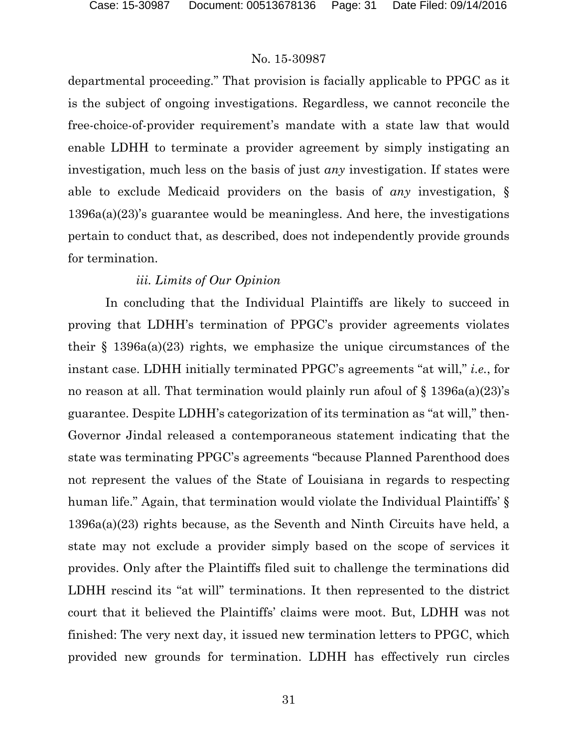departmental proceeding." That provision is facially applicable to PPGC as it is the subject of ongoing investigations. Regardless, we cannot reconcile the free-choice-of-provider requirement's mandate with a state law that would enable LDHH to terminate a provider agreement by simply instigating an investigation, much less on the basis of just *any* investigation. If states were able to exclude Medicaid providers on the basis of *any* investigation, § 1396a(a)(23)'s guarantee would be meaningless. And here, the investigations pertain to conduct that, as described, does not independently provide grounds for termination.

### *iii. Limits of Our Opinion*

In concluding that the Individual Plaintiffs are likely to succeed in proving that LDHH's termination of PPGC's provider agreements violates their  $\S$  1396a(a)(23) rights, we emphasize the unique circumstances of the instant case. LDHH initially terminated PPGC's agreements "at will," *i.e.*, for no reason at all. That termination would plainly run afoul of  $\S$  1396a(a)(23)'s guarantee. Despite LDHH's categorization of its termination as "at will," then-Governor Jindal released a contemporaneous statement indicating that the state was terminating PPGC's agreements "because Planned Parenthood does not represent the values of the State of Louisiana in regards to respecting human life." Again, that termination would violate the Individual Plaintiffs' § 1396a(a)(23) rights because, as the Seventh and Ninth Circuits have held, a state may not exclude a provider simply based on the scope of services it provides. Only after the Plaintiffs filed suit to challenge the terminations did LDHH rescind its "at will" terminations. It then represented to the district court that it believed the Plaintiffs' claims were moot. But, LDHH was not finished: The very next day, it issued new termination letters to PPGC, which provided new grounds for termination. LDHH has effectively run circles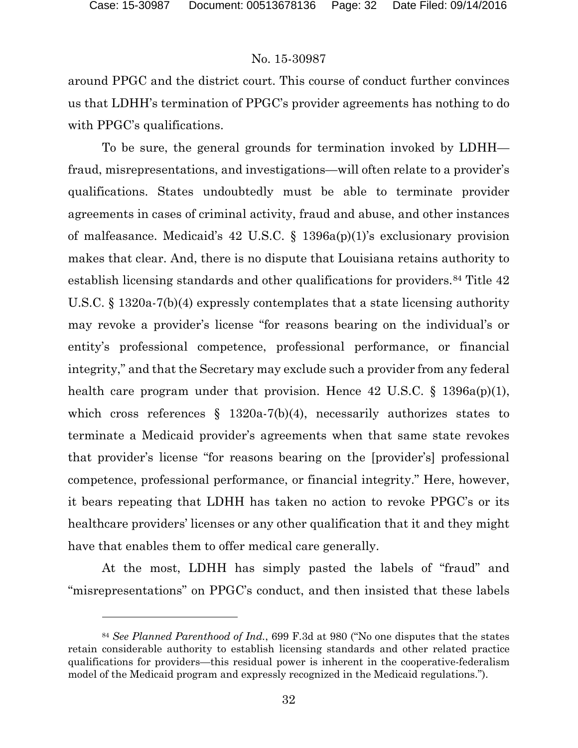l

#### No. 15-30987

around PPGC and the district court. This course of conduct further convinces us that LDHH's termination of PPGC's provider agreements has nothing to do with PPGC's qualifications.

To be sure, the general grounds for termination invoked by LDHH fraud, misrepresentations, and investigations—will often relate to a provider's qualifications. States undoubtedly must be able to terminate provider agreements in cases of criminal activity, fraud and abuse, and other instances of malfeasance. Medicaid's 42 U.S.C. § 1396a(p)(1)'s exclusionary provision makes that clear. And, there is no dispute that Louisiana retains authority to establish licensing standards and other qualifications for providers.<sup>[84](#page-31-0)</sup> Title 42 U.S.C. § 1320a-7(b)(4) expressly contemplates that a state licensing authority may revoke a provider's license "for reasons bearing on the individual's or entity's professional competence, professional performance, or financial integrity," and that the Secretary may exclude such a provider from any federal health care program under that provision. Hence  $42 \text{ U.S.C. } \S 1396a(p)(1)$ , which cross references  $\S$  1320a-7(b)(4), necessarily authorizes states to terminate a Medicaid provider's agreements when that same state revokes that provider's license "for reasons bearing on the [provider's] professional competence, professional performance, or financial integrity." Here, however, it bears repeating that LDHH has taken no action to revoke PPGC's or its healthcare providers' licenses or any other qualification that it and they might have that enables them to offer medical care generally.

At the most, LDHH has simply pasted the labels of "fraud" and "misrepresentations" on PPGC's conduct, and then insisted that these labels

<span id="page-31-0"></span><sup>84</sup> *See Planned Parenthood of Ind.*, 699 F.3d at 980 ("No one disputes that the states retain considerable authority to establish licensing standards and other related practice qualifications for providers—this residual power is inherent in the cooperative-federalism model of the Medicaid program and expressly recognized in the Medicaid regulations.").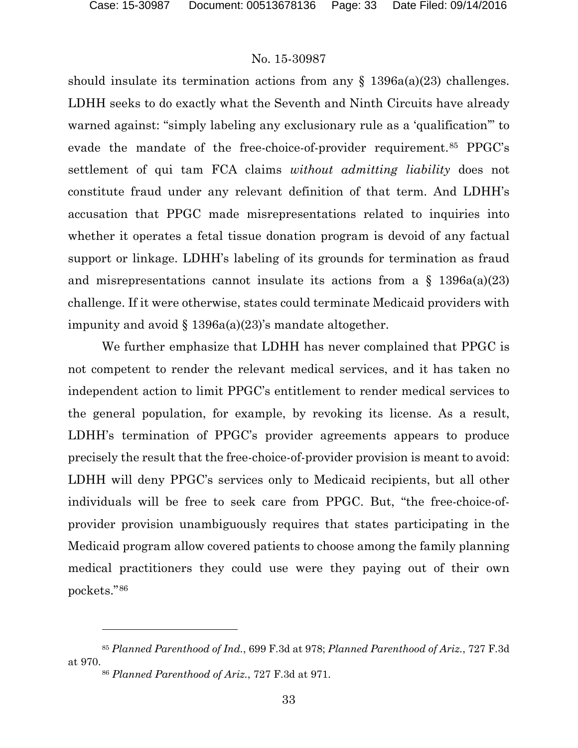should insulate its termination actions from any  $\S$  1396a(a)(23) challenges. LDHH seeks to do exactly what the Seventh and Ninth Circuits have already warned against: "simply labeling any exclusionary rule as a 'qualification'" to evade the mandate of the free-choice-of-provider requirement.[85](#page-32-0) PPGC's settlement of qui tam FCA claims *without admitting liability* does not constitute fraud under any relevant definition of that term. And LDHH's accusation that PPGC made misrepresentations related to inquiries into whether it operates a fetal tissue donation program is devoid of any factual support or linkage. LDHH's labeling of its grounds for termination as fraud and misrepresentations cannot insulate its actions from a  $\S$  1396a(a)(23) challenge. If it were otherwise, states could terminate Medicaid providers with impunity and avoid  $\S 1396a(a)(23)$ 's mandate altogether.

We further emphasize that LDHH has never complained that PPGC is not competent to render the relevant medical services, and it has taken no independent action to limit PPGC's entitlement to render medical services to the general population, for example, by revoking its license. As a result, LDHH's termination of PPGC's provider agreements appears to produce precisely the result that the free-choice-of-provider provision is meant to avoid: LDHH will deny PPGC's services only to Medicaid recipients, but all other individuals will be free to seek care from PPGC. But, "the free-choice-ofprovider provision unambiguously requires that states participating in the Medicaid program allow covered patients to choose among the family planning medical practitioners they could use were they paying out of their own pockets."[86](#page-32-1)

<span id="page-32-1"></span><span id="page-32-0"></span><sup>85</sup> *Planned Parenthood of Ind.*, 699 F.3d at 978; *Planned Parenthood of Ariz.*, 727 F.3d at 970.

<sup>86</sup> *Planned Parenthood of Ariz.*, 727 F.3d at 971.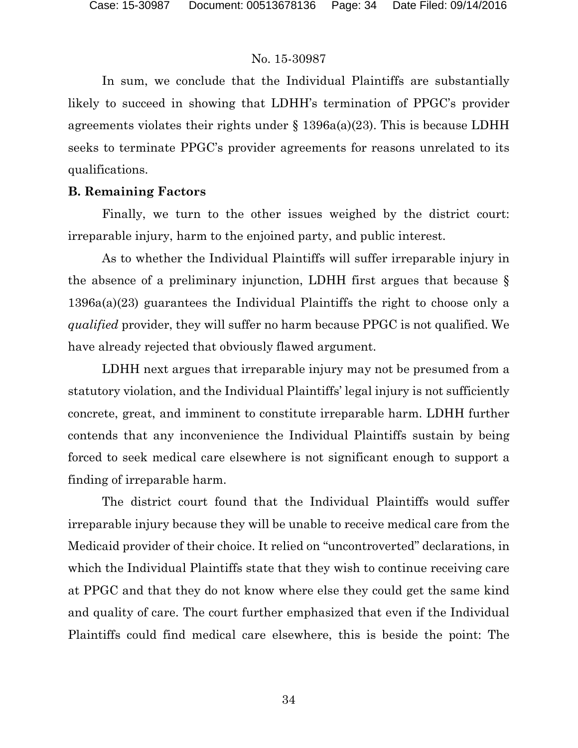In sum, we conclude that the Individual Plaintiffs are substantially likely to succeed in showing that LDHH's termination of PPGC's provider agreements violates their rights under  $\S$  1396a(a)(23). This is because LDHH seeks to terminate PPGC's provider agreements for reasons unrelated to its qualifications.

#### **B. Remaining Factors**

Finally, we turn to the other issues weighed by the district court: irreparable injury, harm to the enjoined party, and public interest.

As to whether the Individual Plaintiffs will suffer irreparable injury in the absence of a preliminary injunction, LDHH first argues that because § 1396a(a)(23) guarantees the Individual Plaintiffs the right to choose only a *qualified* provider, they will suffer no harm because PPGC is not qualified. We have already rejected that obviously flawed argument.

LDHH next argues that irreparable injury may not be presumed from a statutory violation, and the Individual Plaintiffs' legal injury is not sufficiently concrete, great, and imminent to constitute irreparable harm. LDHH further contends that any inconvenience the Individual Plaintiffs sustain by being forced to seek medical care elsewhere is not significant enough to support a finding of irreparable harm.

The district court found that the Individual Plaintiffs would suffer irreparable injury because they will be unable to receive medical care from the Medicaid provider of their choice. It relied on "uncontroverted" declarations, in which the Individual Plaintiffs state that they wish to continue receiving care at PPGC and that they do not know where else they could get the same kind and quality of care. The court further emphasized that even if the Individual Plaintiffs could find medical care elsewhere, this is beside the point: The

34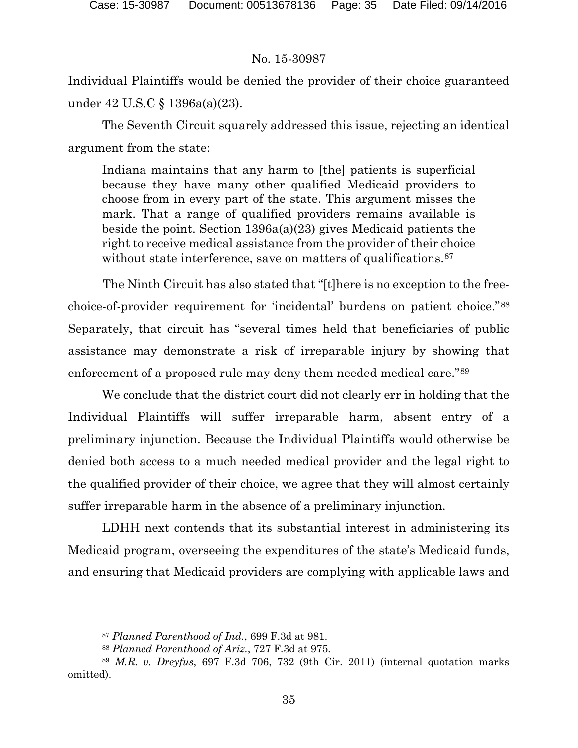Individual Plaintiffs would be denied the provider of their choice guaranteed under 42 U.S.C § 1396a(a)(23).

The Seventh Circuit squarely addressed this issue, rejecting an identical argument from the state:

Indiana maintains that any harm to [the] patients is superficial because they have many other qualified Medicaid providers to choose from in every part of the state. This argument misses the mark. That a range of qualified providers remains available is beside the point. Section 1396a(a)(23) gives Medicaid patients the right to receive medical assistance from the provider of their choice without state interference, save on matters of qualifications.<sup>[87](#page-34-0)</sup>

The Ninth Circuit has also stated that "[t]here is no exception to the freechoice-of-provider requirement for 'incidental' burdens on patient choice."[88](#page-34-1) Separately, that circuit has "several times held that beneficiaries of public assistance may demonstrate a risk of irreparable injury by showing that enforcement of a proposed rule may deny them needed medical care."[89](#page-34-2)

We conclude that the district court did not clearly err in holding that the Individual Plaintiffs will suffer irreparable harm, absent entry of a preliminary injunction. Because the Individual Plaintiffs would otherwise be denied both access to a much needed medical provider and the legal right to the qualified provider of their choice, we agree that they will almost certainly suffer irreparable harm in the absence of a preliminary injunction.

LDHH next contends that its substantial interest in administering its Medicaid program, overseeing the expenditures of the state's Medicaid funds, and ensuring that Medicaid providers are complying with applicable laws and

<sup>87</sup> *Planned Parenthood of Ind.*, 699 F.3d at 981.

<sup>88</sup> *Planned Parenthood of Ariz.*, 727 F.3d at 975.

<span id="page-34-2"></span><span id="page-34-1"></span><span id="page-34-0"></span><sup>89</sup> *M.R. v. Dreyfus*, 697 F.3d 706, 732 (9th Cir. 2011) (internal quotation marks omitted).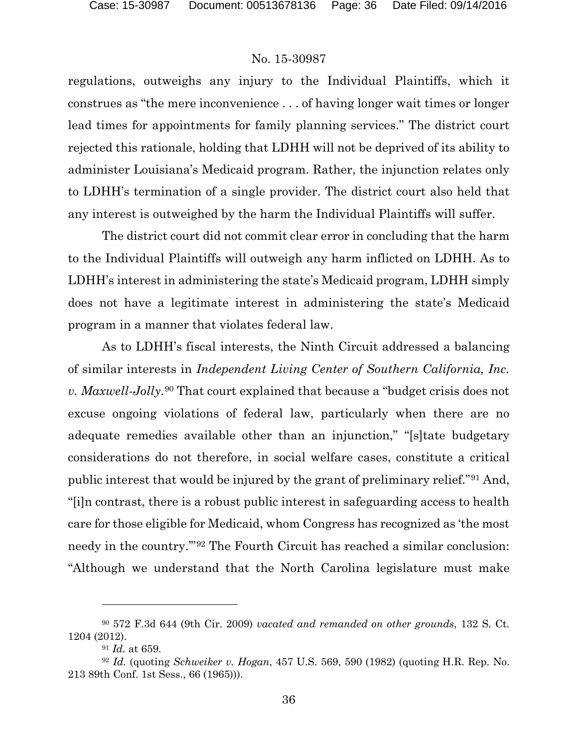regulations, outweighs any injury to the Individual Plaintiffs, which it construes as "the mere inconvenience . . . of having longer wait times or longer lead times for appointments for family planning services." The district court rejected this rationale, holding that LDHH will not be deprived of its ability to administer Louisiana's Medicaid program. Rather, the injunction relates only to LDHH's termination of a single provider. The district court also held that any interest is outweighed by the harm the Individual Plaintiffs will suffer.

The district court did not commit clear error in concluding that the harm to the Individual Plaintiffs will outweigh any harm inflicted on LDHH. As to LDHH's interest in administering the state's Medicaid program, LDHH simply does not have a legitimate interest in administering the state's Medicaid program in a manner that violates federal law.

As to LDHH's fiscal interests, the Ninth Circuit addressed a balancing of similar interests in *Independent Living Center of Southern California, Inc. v. Maxwell-Jolly*.[90](#page-35-0) That court explained that because a "budget crisis does not excuse ongoing violations of federal law, particularly when there are no adequate remedies available other than an injunction," "[s]tate budgetary considerations do not therefore, in social welfare cases, constitute a critical public interest that would be injured by the grant of preliminary relief."[91](#page-35-1) And, "[i]n contrast, there is a robust public interest in safeguarding access to health care for those eligible for Medicaid, whom Congress has recognized as 'the most needy in the country.'"[92](#page-35-2) The Fourth Circuit has reached a similar conclusion: "Although we understand that the North Carolina legislature must make

<span id="page-35-0"></span><sup>90</sup> 572 F.3d 644 (9th Cir. 2009) *vacated and remanded on other grounds*, 132 S. Ct. 1204 (2012).

<sup>91</sup> *Id.* at 659.

<span id="page-35-2"></span><span id="page-35-1"></span><sup>92</sup> *Id.* (quoting *Schweiker v. Hogan*, 457 U.S. 569, 590 (1982) (quoting H.R. Rep. No. 213 89th Conf. 1st Sess., 66 (1965))).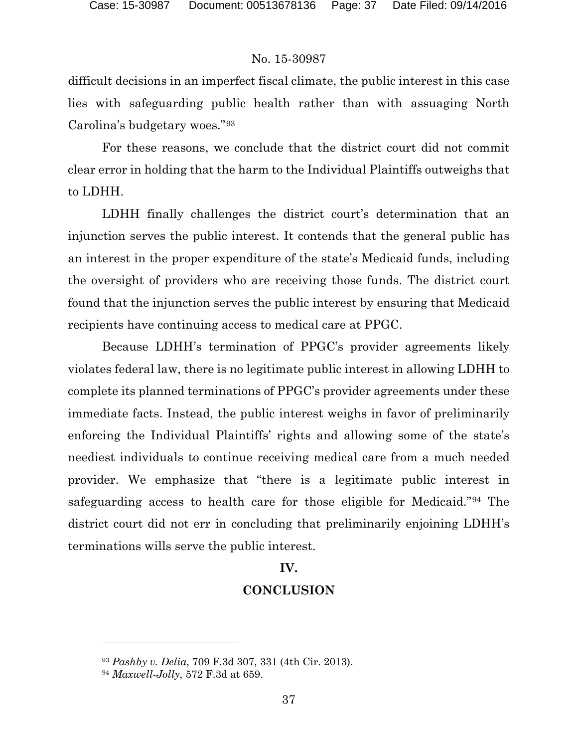difficult decisions in an imperfect fiscal climate, the public interest in this case lies with safeguarding public health rather than with assuaging North Carolina's budgetary woes."[93](#page-36-0)

For these reasons, we conclude that the district court did not commit clear error in holding that the harm to the Individual Plaintiffs outweighs that to LDHH.

LDHH finally challenges the district court's determination that an injunction serves the public interest. It contends that the general public has an interest in the proper expenditure of the state's Medicaid funds, including the oversight of providers who are receiving those funds. The district court found that the injunction serves the public interest by ensuring that Medicaid recipients have continuing access to medical care at PPGC.

Because LDHH's termination of PPGC's provider agreements likely violates federal law, there is no legitimate public interest in allowing LDHH to complete its planned terminations of PPGC's provider agreements under these immediate facts. Instead, the public interest weighs in favor of preliminarily enforcing the Individual Plaintiffs' rights and allowing some of the state's neediest individuals to continue receiving medical care from a much needed provider. We emphasize that "there is a legitimate public interest in safeguarding access to health care for those eligible for Medicaid."[94](#page-36-1) The district court did not err in concluding that preliminarily enjoining LDHH's terminations wills serve the public interest.

#### **IV.**

### **CONCLUSION**

<span id="page-36-0"></span><sup>93</sup> *Pashby v. Delia*, 709 F.3d 307, 331 (4th Cir. 2013).

<span id="page-36-1"></span><sup>94</sup> *Maxwell-Jolly*, 572 F.3d at 659.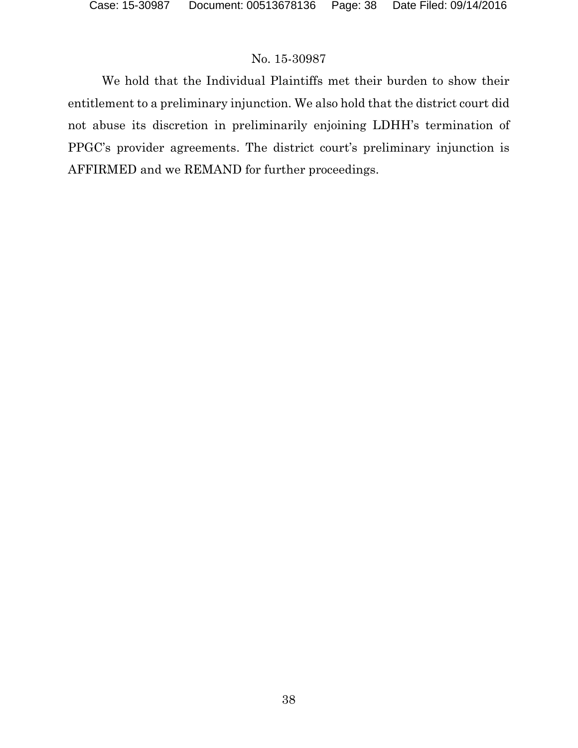We hold that the Individual Plaintiffs met their burden to show their entitlement to a preliminary injunction. We also hold that the district court did not abuse its discretion in preliminarily enjoining LDHH's termination of PPGC's provider agreements. The district court's preliminary injunction is AFFIRMED and we REMAND for further proceedings.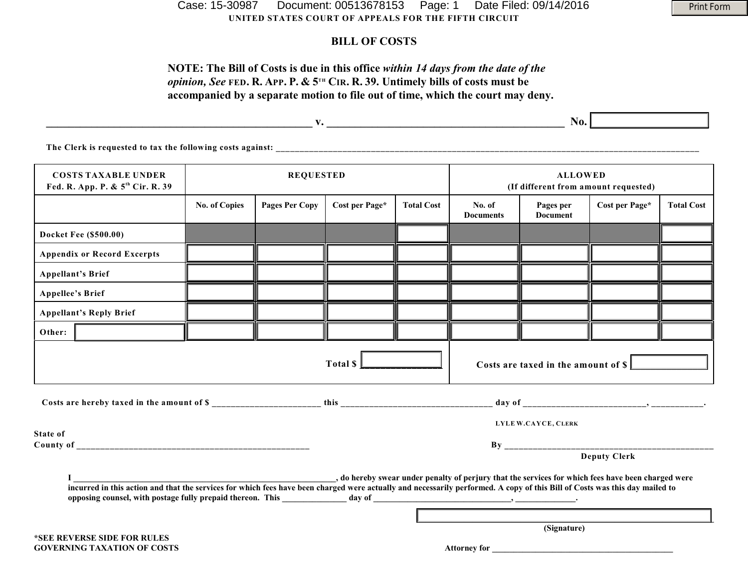**UNITED STATES COURT OF APPEALS FOR THE FIFTH CIRCUIT** Case: 15-30987 Document: 00513678153 Page: 1 Date Filed: 09/14/2016

#### **BILL OF COSTS**

#### **NOTE: The Bill of Costs is due in this office** *within 14 days from the date of the opinion, See* FED. R. APP. P. & 5<sup>TH</sup> CIR. R. 39. Untimely bills of costs must be **accompanied by a separate motion to file out of time, which the court may deny.**

|                                                                            |                      |                       |                |                   | <b>No.</b>                                             |                                        |                |                   |  |  |  |  |
|----------------------------------------------------------------------------|----------------------|-----------------------|----------------|-------------------|--------------------------------------------------------|----------------------------------------|----------------|-------------------|--|--|--|--|
| The Clerk is requested to tax the following costs against:                 |                      |                       |                |                   |                                                        |                                        |                |                   |  |  |  |  |
| <b>COSTS TAXABLE UNDER</b><br>Fed. R. App. P. & 5 <sup>th</sup> Cir. R. 39 | <b>REQUESTED</b>     |                       |                |                   | <b>ALLOWED</b><br>(If different from amount requested) |                                        |                |                   |  |  |  |  |
|                                                                            | <b>No. of Copies</b> | <b>Pages Per Copy</b> | Cost per Page* | <b>Total Cost</b> | No. of<br>$\mathbf{r}$ $\mathbf{r}$                    | Pages per<br>$\mathbf{r}$ $\mathbf{r}$ | Cost per Page* | <b>Total Cost</b> |  |  |  |  |

|                                    |                                                                                                                                                                                                                                                                                 |  |                                                                        |                     |             | <b>Documents</b> | <b>Document</b> |  |  |  |
|------------------------------------|---------------------------------------------------------------------------------------------------------------------------------------------------------------------------------------------------------------------------------------------------------------------------------|--|------------------------------------------------------------------------|---------------------|-------------|------------------|-----------------|--|--|--|
|                                    | <b>Docket Fee (\$500.00)</b>                                                                                                                                                                                                                                                    |  |                                                                        |                     |             |                  |                 |  |  |  |
| <b>Appendix or Record Excerpts</b> |                                                                                                                                                                                                                                                                                 |  |                                                                        |                     |             |                  |                 |  |  |  |
| <b>Appellant's Brief</b>           |                                                                                                                                                                                                                                                                                 |  |                                                                        |                     |             |                  |                 |  |  |  |
| <b>Appellee's Brief</b>            |                                                                                                                                                                                                                                                                                 |  |                                                                        |                     |             |                  |                 |  |  |  |
|                                    | <b>Appellant's Reply Brief</b>                                                                                                                                                                                                                                                  |  |                                                                        |                     |             |                  |                 |  |  |  |
| Other:                             |                                                                                                                                                                                                                                                                                 |  |                                                                        |                     |             |                  |                 |  |  |  |
|                                    |                                                                                                                                                                                                                                                                                 |  | Total $\mathsf{\$} \mathsf{\L}$<br>Costs are taxed in the amount of \$ |                     |             |                  |                 |  |  |  |
|                                    |                                                                                                                                                                                                                                                                                 |  |                                                                        |                     |             |                  |                 |  |  |  |
| LYLE W.CAYCE, CLERK                |                                                                                                                                                                                                                                                                                 |  |                                                                        |                     |             |                  |                 |  |  |  |
| State of                           |                                                                                                                                                                                                                                                                                 |  |                                                                        |                     |             |                  |                 |  |  |  |
|                                    |                                                                                                                                                                                                                                                                                 |  |                                                                        |                     |             |                  |                 |  |  |  |
|                                    | o hereby swear under penalty of perjury that the services for which fees have been charged were,<br>incurred in this action and that the services for which fees have been charged were actually and necessarily performed. A copy of this Bill of Costs was this day mailed to |  |                                                                        |                     |             |                  |                 |  |  |  |
|                                    |                                                                                                                                                                                                                                                                                 |  |                                                                        |                     | (Signature) |                  |                 |  |  |  |
|                                    | *SEE REVERSE SIDE FOR RULES                                                                                                                                                                                                                                                     |  |                                                                        |                     |             |                  |                 |  |  |  |
| <b>GOVERNING TAXATION OF COSTS</b> |                                                                                                                                                                                                                                                                                 |  |                                                                        | <b>Attorney for</b> |             |                  |                 |  |  |  |

Print Form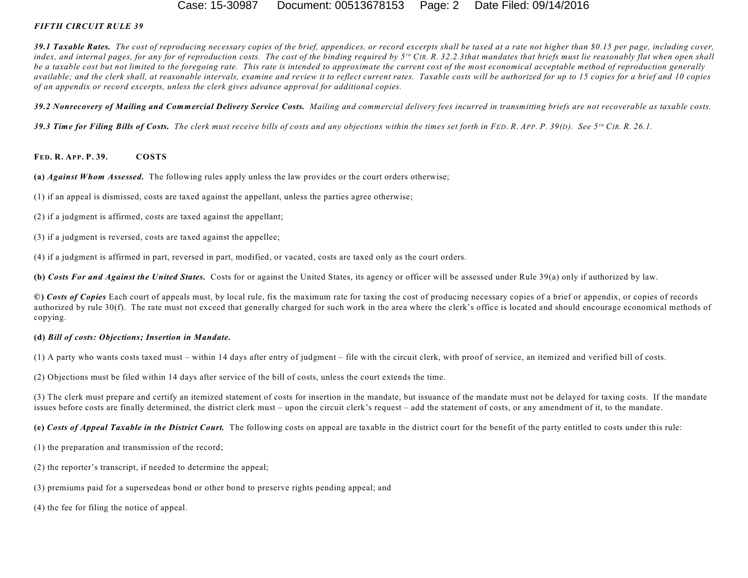#### Case: 15-30987 Document: 00513678153 Page: 2 Date Filed: 09/14/2016

#### *FIFTH CIRCUIT RULE 39*

*39.1 Taxable Rates. The cost of reproducing necessary copies of the brief, appendices, or record excerpts shall be taxed at a rate not higher than \$0.15 per page, including cover,* index, and internal pages, for any for of reproduction costs. The cost of the binding required by  $5^{10}$  CIR, R, 32.2.3that mandates that briefs must lie reasonably flat when open shall *be a taxable cost but not limited to the foregoing rate. This rate is intended to approximate the current cost of the most economical acceptable method of reproduction generally available; and the clerk shall, at reasonable intervals, examine and review it to reflect current rates. Taxable costs will be authorized for up to 15 copies for a brief and 10 copies of an appendix or record excerpts, unless the clerk gives advance approval for additional copies.*

*39.2 Nonrecovery of Mailing and Commercial Delivery Service Costs. Mailing and commercial delivery fees incurred in transmitting briefs are not recoverable as taxable costs.*

39.3 Time for Filing Bills of Costs. The clerk must receive bills of costs and any objections within the times set forth in FED. R. APP. P. 39(D). See 5<sup>TH</sup> CIR. R. 26.1.

#### **FED. R. APP. P. 39. COSTS**

**(a)** *Against Whom Assessed.* The following rules apply unless the law provides or the court orders otherwise;

- (1) if an appeal is dismissed, costs are taxed against the appellant, unless the parties agree otherwise;
- (2) if a judgment is affirmed, costs are taxed against the appellant;
- (3) if a judgment is reversed, costs are taxed against the appellee;
- (4) if a judgment is affirmed in part, reversed in part, modified, or vacated, costs are taxed only as the court orders.

**(b)** *Costs For and Against the United States.* Costs for or against the United States, its agency or officer will be assessed under Rule 39(a) only if authorized by law.

**©)** *Costs of Copies* Each court of appeals must, by local rule, fix the maximum rate for taxing the cost of producing necessary copies of a brief or appendix, or copies of records authorized by rule 30(f). The rate must not exceed that generally charged for such work in the area where the clerk's office is located and should encourage economical methods of copying.

#### **(d)** *Bill of costs: Objections; Insertion in Mandate.*

(1) A party who wants costs taxed must – within 14 days after entry of judgment – file with the circuit clerk, with proof of service, an itemized and verified bill of costs.

(2) Objections must be filed within 14 days after service of the bill of costs, unless the court extends the time.

(3) The clerk must prepare and certify an itemized statement of costs for insertion in the mandate, but issuance of the mandate must not be delayed for taxing costs. If the mandate issues before costs are finally determined, the district clerk must – upon the circuit clerk's request – add the statement of costs, or any amendment of it, to the mandate.

**(e)** *Costs of Appeal Taxable in the District Court.* The following costs on appeal are taxable in the district court for the benefit of the party entitled to costs under this rule:

(1) the preparation and transmission of the record;

- (2) the reporter's transcript, if needed to determine the appeal;
- (3) premiums paid for a supersedeas bond or other bond to preserve rights pending appeal; and

(4) the fee for filing the notice of appeal.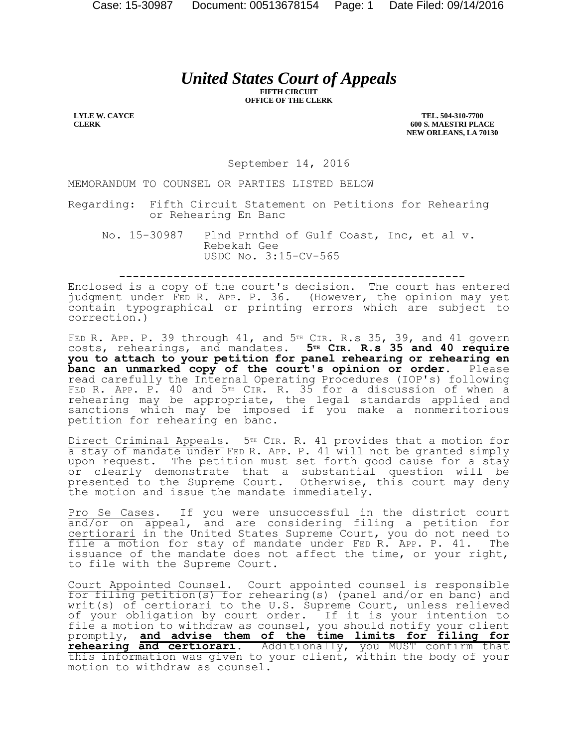# *United States Court of Appeals*

**FIFTH CIRCUIT OFFICE OF THE CLERK**

**LYLE W. CAYCE CLERK**

**TEL. 504-310-7700 600 S. MAESTRI PLACE NEW ORLEANS, LA 70130**

September 14, 2016

MEMORANDUM TO COUNSEL OR PARTIES LISTED BELOW

Regarding: Fifth Circuit Statement on Petitions for Rehearing or Rehearing En Banc

No. 15-30987 Plnd Prnthd of Gulf Coast, Inc, et al v. Rebekah Gee USDC No. 3:15-CV-565

---------------------------------------------------

Enclosed is a copy of the court's decision. The court has entered judgment under FED R. APP. P. 36. (However, the opinion may yet contain typographical or printing errors which are subject to correction.)

FED R. APP. P. 39 through  $41$ , and  $5<sup>TH</sup>$  CIR. R.s 35, 39, and  $41$  govern costs, rehearings, and mandates. **5TH CIR. R.s 35 and 40 require you to attach to your petition for panel rehearing or rehearing en banc an unmarked copy of the court's opinion or order.** Please read carefully the Internal Operating Procedures (IOP's) following FED R. APP. P. 40 and 5TH CIR. R. 35 for a discussion of when a rehearing may be appropriate, the legal standards applied and sanctions which may be imposed if you make a nonmeritorious petition for rehearing en banc.

Direct Criminal Appeals. 5<sup>TH</sup> CIR. R. 41 provides that a motion for a stay of mandate under FED R. APP. P. 41 will not be granted simply upon request. The petition must set forth good cause for a stay or clearly demonstrate that a substantial question will be presented to the Supreme Court. Otherwise, this court may deny the motion and issue the mandate immediately.

Pro Se Cases. If you were unsuccessful in the district court and/or on appeal, and are considering filing a petition for certiorari in the United States Supreme Court, you do not need to file a motion for stay of mandate under FED R. APP. P. 41. The issuance of the mandate does not affect the time, or your right, to file with the Supreme Court.

Court Appointed Counsel. Court appointed counsel is responsible for filing petition(s) for rehearing(s) (panel and/or en banc) and writ(s) of certiorari to the U.S. Supreme Court, unless relieved of your obligation by court order. If it is your intention to file a motion to withdraw as counsel, you should notify your client promptly, **and advise them of the time limits for filing for rehearing and certiorari**. Additionally, you MUST confirm that this information was given to your client, within the body of your motion to withdraw as counsel.